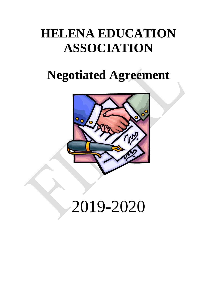# **HELENA EDUCATION ASSOCIATION**

# **Negotiated Agreement**



# 2019-2020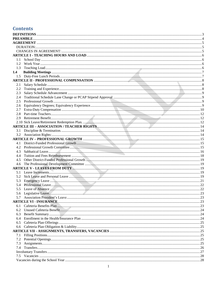# **Contents**

| 1.3 |  |
|-----|--|
| 1.4 |  |
|     |  |
|     |  |
| 2.1 |  |
| 2.2 |  |
| 2.3 |  |
|     |  |
|     |  |
|     |  |
|     |  |
|     |  |
|     |  |
|     |  |
|     |  |
|     |  |
|     |  |
|     |  |
|     |  |
|     |  |
| 4.3 |  |
| 4.4 |  |
| 4.5 |  |
| 4.6 |  |
|     |  |
|     |  |
| 5.2 |  |
| 5.3 |  |
|     |  |
|     |  |
|     |  |
|     |  |
|     |  |
| 6.1 |  |
| 6.2 |  |
| 6.3 |  |
| 6.4 |  |
|     |  |
|     |  |
|     |  |
| 7.1 |  |
| 7.2 |  |
| 7.3 |  |
| 7.4 |  |
|     |  |
|     |  |
|     |  |
|     |  |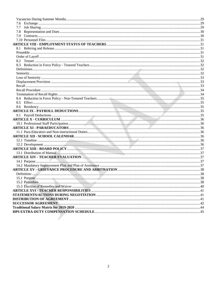| 7.7 |  |
|-----|--|
| 7.8 |  |
|     |  |
|     |  |
|     |  |
|     |  |
|     |  |
|     |  |
|     |  |
|     |  |
|     |  |
|     |  |
|     |  |
|     |  |
|     |  |
|     |  |
|     |  |
|     |  |
|     |  |
|     |  |
|     |  |
|     |  |
|     |  |
|     |  |
|     |  |
|     |  |
|     |  |
|     |  |
|     |  |
|     |  |
|     |  |
|     |  |
|     |  |
|     |  |
|     |  |
|     |  |
|     |  |
|     |  |
|     |  |
|     |  |
|     |  |
|     |  |
|     |  |
|     |  |
|     |  |
|     |  |
|     |  |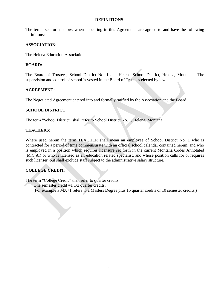#### **DEFINITIONS**

<span id="page-3-0"></span>The terms set forth below, when appearing in this Agreement, are agreed to and have the following definitions:

#### **ASSOCIATION:**

The Helena Education Association.

# **BOARD:**

The Board of Trustees, School District No. 1 and Helena School District, Helena, Montana. The supervision and control of school is vested in the Board of Trustees elected by law.

# **AGREEMENT:**

The Negotiated Agreement entered into and formally ratified by the Association and the Board.

# **SCHOOL DISTRICT:**

The term "School District" shall refer to School District No. 1, Helena, Montana.

# **TEACHERS:**

Where used herein the term TEACHER shall mean an employee of School District No. 1 who is contracted for a period of time commensurate with an official school calendar contained herein, and who is employed in a position which requires licensure set forth in the current Montana Codes Annotated (M.C.A.) or who is licensed as an education related specialist, and whose position calls for or requires such licenser, but shall exclude staff subject to the administrative salary structure.

# **COLLEGE CREDIT:**

The term "College Credit" shall refer to quarter credits.

One semester credit  $=1$  1/2 quarter credits.

(For example a MA+1 refers to a Masters Degree plus 15 quarter credits or 10 semester credits.)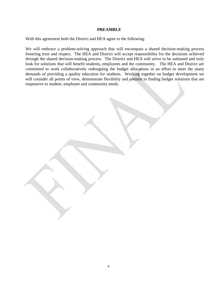#### **PREAMBLE**

<span id="page-4-0"></span>With this agreement both the District and HEA agree to the following:

We will embrace a problem-solving approach that will encompass a shared decision-making process fostering trust and respect. The HEA and District will accept responsibility for the decisions achieved through the shared decision-making process. The District and HEA will strive to be unbiased and truly look for solutions that will benefit students, employees and the community. The HEA and District are committed to work collaboratively redesigning the budget allocations in an effort to meet the many demands of providing a quality education for students. Working together on budget development we will consider all points of view, demonstrate flexibility and commit to finding budget solutions that are responsive to student, employee and community needs.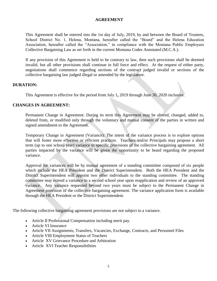# **AGREEMENT**

<span id="page-5-0"></span>This Agreement shall be entered into the 1st day of July, 2019, by and between the Board of Trustees, School District No. 1, Helena, Montana, hereafter called the "Board" and the Helena Education Association, hereafter called the "Association," in compliance with the Montana Public Employees Collective Bargaining Law as set forth in the current Montana Codes Annotated (M.C.A.).

If any provision of this Agreement is held to be contrary to law, then such provisions shall be deemed invalid, but all other provisions shall continue in full force and effect. At the request of either party, negotiations shall commence regarding sections of the contract judged invalid or sections of the collective bargaining law judged illegal or amended by the legislature.

# <span id="page-5-1"></span>**DURATION:**

This Agreement is effective for the period from July 1**,** 2019 through June 30, 2020 inclusive.

# <span id="page-5-2"></span>**CHANGES IN AGREEMENT:**

Permanent Change in Agreement: During its term this Agreement may be altered, changed, added to, deleted from, or modified only through the voluntary and mutual consent of the parties in written and signed amendment to the Agreement.

Temporary Change in Agreement (Variance): The intent of the variance process is to explore options that will foster more effective or efficient practices. Teachers and/or Principals may propose a short term (up to one school year) variance to specific provisions of the collective bargaining agreement. All parties impacted by the variance will be given the opportunity to be heard regarding the proposed variance.

Approval for variances will be by mutual agreement of a standing committee composed of six people which include the HEA President and the District Superintendent. Both the HEA President and the District Superintendent will appoint two other individuals to the standing committee. The standing committee may extend a variance to a second school year upon reapplication and review of an approved variance. Any variance requested beyond two years must be subject to the Permanent Change in Agreement provision of the collective bargaining agreement. The variance application form is available through the HEA President or the District Superintendent.

The following collective bargaining agreement provisions are not subject to a variance.

- Article II Professional Compensation including merit pay.
- Article VI Insurance
- Article VII Assignments, Transfers, Vacancies, Exchange, Contracts, and Personnel Files
- Article VIII Employment Status of Teachers
- Article XV Grievance Procedure and Arbitration
- Article XVI Teacher Responsibilities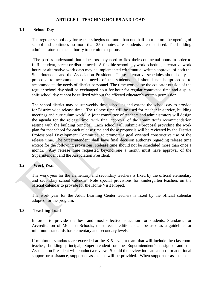#### **ARTICLE I - TEACHING HOURS AND LOAD**

#### <span id="page-6-1"></span><span id="page-6-0"></span>**1.1 School Day**

The regular school day for teachers begins no more than one-half hour before the opening of school and continues no more than 25 minutes after students are dismissed. The building administrator has the authority to permit exceptions.

The parties understand that educators may need to flex their contractual hours in order to fulfill student, parent or district needs. A flexible school day work schedule, alternative work hours or alternative work days may be implemented with mutual written approval of both the Superintendent and the Association President. These alternative schedules should only be proposed to accommodate the needs of the students and should not be proposed to accommodate the needs of district personnel. The time worked by the educator outside of the regular school day shall be exchanged hour for hour for regular contracted time and a splitshift school day cannot be utilized without the affected educator's written permission.

The school district may adjust weekly time schedules and extend the school day to provide for District wide release time. The release time will be used for teacher in-service, building meetings and curriculum work. A joint committee of teachers and administrators will design the agenda for the release time, with final approval of the committee's recommendation resting with the building principal. Each school will submit a proposal providing the work plan for that school for each release time and those proposals will be reviewed by the District Professional Development Committee, to promote a goal oriented constructive use of the release time. The Superintendent shall have final decision authority regarding release time except for the following provisions. Release time should not be scheduled more than once a month. Any release time requested beyond one a month must have approval of the Superintendent and the Association President.

# <span id="page-6-2"></span>**1.2 Work Year**

The work year for the elementary and secondary teachers is fixed by the official elementary and secondary school calendar. Note special provisions for kindergarten teachers on the official calendar to provide for the Home Visit Project.

The work year for the Adult Learning Center teachers is fixed by the official calendar adopted for the program.

#### <span id="page-6-3"></span>**1.3 Teaching Load**

In order to provide the best and most effective education for students, Standards for Accreditation of Montana Schools, most recent edition, shall be used as a guideline for minimum standards for elementary and secondary levels.

If minimum standards are exceeded at the K-5 level, a team that will include the classroom teacher, building principal, Superintendent or the Superintendent's designee and the Association President will conduct a review. Should the review indicate a need for additional support or assistance, support or assistance will be provided. When support or assistance is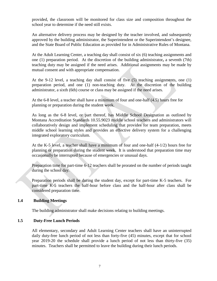provided, the classroom will be monitored for class size and composition throughout the school year to determine if the need still exists.

An alternative delivery process may be designed by the teacher involved, and subsequently approved by the building administrator, the Superintendent or the Superintendent's designee, and the State Board of Public Education as provided for in Administrative Rules of Montana.

At the Adult Learning Center, a teaching day shall consist of six (6) teaching assignments and one (1) preparation period. At the discretion of the building administrator**,** a seventh (7th) teaching duty may be assigned if the need arises. Additional assignments may be made by mutual consent and with appropriate compensation.

At the 9-12 level, a teaching day shall consist of five (5) teaching assignments, one (1) preparation period, and one (1) non-teaching duty. At the discretion of the building administrator, a sixth (6th) course or class may be assigned if the need arises.

At the 6-8 level, a teacher shall have a minimum of four and one-half (4.5) hours free for planning or preparation during the student week.

As long as the 6-8 level, or part thereof, has Middle School Designation as outlined by Montana Accreditation Standards 10.55.9023 middle school teachers and administrators will collaboratively design and implement scheduling that provides for team preparation, meets middle school learning styles and provides an effective delivery system for a challenging integrated exploratory curriculum.

At the K-5 level, a teacher shall have a minimum of four and one-half (4-1/2) hours free for planning or preparation during the student week. It is understood that preparation time may occasionally be interrupted because of emergencies or unusual days.

Preparation time for part-time 6-12 teachers shall be prorated on the number of periods taught during the school day.

Preparation periods shall be during the student day, except for part-time K-5 teachers. For part-time K-5 teachers the half-hour before class and the half-hour after class shall be considered preparation time.

# <span id="page-7-0"></span>**1.4 Building Meetings**

The building administrator shall make decisions relating to building meetings.

# <span id="page-7-1"></span>**1.5 Duty-Free Lunch Periods**

All elementary, secondary and Adult Learning Center teachers shall have an uninterrupted daily duty-free lunch period of not less than forty-five (45) minutes, except that for school year 2019-20 the schedule shall provide a lunch period of not less than thirty-five (35) minutes. Teachers shall be permitted to leave the building during their lunch periods.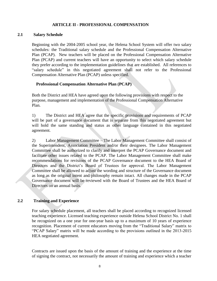# **ARTICLE II - PROFESSIONAL COMPENSATION**

#### <span id="page-8-1"></span><span id="page-8-0"></span>**2.1 Salary Schedule**

Beginning with the 2004-2005 school year, the Helena School System will offer two salary schedules: the Traditional salary schedule and the Professional Compensation Alternative Plan (PCAP). New teachers will be placed on the Professional Compensation Alternative Plan (PCAP) and current teachers will have an opportunity to select which salary schedule they prefer according to the implementation guidelines that are established. All references to "salary schedule" in this negotiated agreement shall not refer to the Professional Compensation Alternative Plan (PCAP) unless specified.

#### **Professional Compensation Alternative Plan (PCAP)**

Both the District and HEA have agreed upon the following provisions with respect to the purpose, management and implementation of the Professional Compensation Alternative Plan.

1) The District and HEA agree that the specific provisions and requirements of PCAP will be part of a governance document that is separate from this negotiated agreement but will hold the same standing and status as other language contained in this negotiated agreement.

2) Labor Management Committee – The Labor Management Committee shall consist of the Superintendent, Association President and/or their designees. The Labor Management Committee shall be authorized to clarify and interpret the PCAP Governance document and facilitate other issues related to the PCAP. The Labor Management Committee shall make recommendations for revisions of the PCAP Governance document to the HEA Board of Directors and the District's Board of Trustees for approval. The Labor Management Committee shall be allowed to adjust the wording and structure of the Governance document as long as the original intent and philosophy remain intact. All changes made in the PCAP Governance document will be reviewed with the Board of Trustees and the HEA Board of Directors on an annual basis.

#### <span id="page-8-2"></span>**2.2 Training and Experience**

For salary schedule placement, all teachers shall be placed according to recognized licensed teaching experience. Licensed teaching experience outside Helena School District No. 1 shall be recognized on a one year for one-year basis up to a maximum of 10 years of experience recognition. Placement of current educators moving from the "Traditional Salary" matrix to "PCAP Salary" matrix will be made according to the provisions outlined in the 2013-2015 HEA negotiated agreement.

Contracts are issued upon the basis of the amount of training and the experience at the time of signing the contract, not necessarily the amount of training and experience which a teacher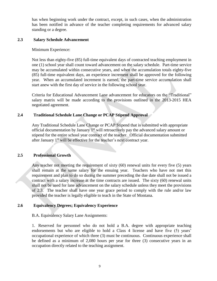has when beginning work under the contract, except, in such cases, when the administration has been notified in advance of the teacher completing requirements for advanced salary standing or a degree.

# <span id="page-9-0"></span>**2.3 Salary Schedule Advancement**

#### Minimum Experience:

Not less than eighty-five (85) full-time equivalent days of contracted teaching employment in one (1) school year shall count toward advancement on the salary schedule. Part-time service may be accumulated within consecutive years, and when the accumulation totals eighty-five (85) full-time equivalent days, an experience increment shall be approved for the following year. When an accumulated increment is earned, the part-time service accumulation shall start anew with the first day of service in the following school year.

Criteria for Educational Advancement Lane advancement for educators on the "Traditional" salary matrix will be made according to the provisions outlined in the 2013-2015 HEA negotiated agreement.

# <span id="page-9-1"></span>**2.4 Traditional Schedule Lane Change or PCAP Stipend Approval**

Any Traditional Schedule Lane Change or PCAP Stipend that is submitted with appropriate official documentation by January  $1<sup>st</sup>$  will retroactively pay the advanced salary amount or stipend for the entire school year contract of the teacher. Official documentation submitted after January 1<sup>st</sup> will be effective for the teacher's next contract year.

#### <span id="page-9-2"></span>**2.5 Professional Growth**

Any teacher not meeting the requirement of sixty (60) renewal units for every five (5) years shall remain at the same salary for the ensuing year. Teachers who have not met this requirement and plan to do so during the summer preceding the due date shall not be issued a contract with a salary increase at the time contracts are issued. The sixty (60) renewal units shall not be used for lane advancement on the salary schedule unless they meet the provisions of 2.3. The teacher shall have one year grace period to comply with the rule and/or law provided the teacher is legally eligible to teach in the State of Montana.

# <span id="page-9-3"></span>**2.6 Equivalency Degrees; Equivalency Experience**

B.A. Equivalency Salary Lane Assignments:

1. Reserved for personnel who do not hold a B.A. degree with appropriate teaching endorsements but who are eligible to hold a Class 4 license and have five (5) years' occupational experience of which three (3) must be continuous. Continuous experience shall be defined as a minimum of 2,080 hours per year for three (3) consecutive years in an occupation directly related to the teaching assignment.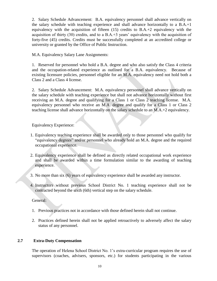2. Salary Schedule Advancement: B.A. equivalency personnel shall advance vertically on the salary schedule with teaching experience and shall advance horizontally to a B.A.+1 equivalency with the acquisition of fifteen  $(15)$  credits to B.A.+2 equivalency with the acquisition of thirty (30) credits, and to a B.A.+3 years' equivalency with the acquisition of forty-five (45) credits. Credits must be successfully completed at an accredited college or university or granted by the Office of Public Instruction.

M.A. Equivalency Salary Lane Assignments:

1. Reserved for personnel who hold a B.A. degree and who also satisfy the Class 4 criteria and the occupation-related experience as outlined for a B.A. equivalency. Because of existing licensure policies, personnel eligible for an M.A. equivalency need not hold both a Class 2 and a Class 4 license.

2. Salary Schedule Advancement: M.A. equivalency personnel shall advance vertically on the salary schedule with teaching experience but shall not advance horizontally without first receiving an M.A. degree and qualifying for a Class 1 or Class 2 teaching license. M.A. equivalency personnel who receive an M.A. degree and qualify for a Class 1 or Class 2 teaching license shall advance horizontally on the salary schedule to an M.A.+2 equivalency.

Equivalency Experience:

- 1. Equivalency teaching experience shall be awarded only to those personnel who qualify for "equivalency degrees" and/or personnel who already hold an M.A. degree and the required occupational experience.
- 2. Equivalency experience shall be defined as directly related occupational work experience and shall be awarded within a time formulation similar to the awarding of teaching experience.
- 3. No more than six (6) years of equivalency experience shall be awarded any instructor.
- 4. Instructors without previous School District No. 1 teaching experience shall not be contracted beyond the sixth (6th) vertical step on the salary schedule.

General:

- 1. Previous practices not in accordance with those defined herein shall not continue.
- 2. Practices defined herein shall not be applied retroactively to adversely affect the salary status of any personnel.

# <span id="page-10-0"></span>**2.7 Extra-Duty Compensation**

The operation of Helena School District No. 1's extra-curricular program requires the use of supervisors (coaches, advisers, sponsors, etc.) for students participating in the various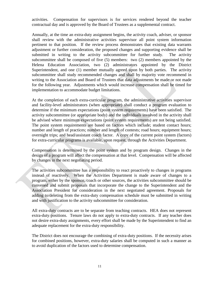activities. Compensation for supervisors is for services rendered beyond the teacher contractual day and is approved by the Board of Trustees as a supplemental contract.

Annually, at the time an extra-duty assignment begins, the activity coach, adviser, or sponsor shall review with the administrative activities supervisor all point system information pertinent to that position. If the review process demonstrates that existing data warrants adjustment or further consideration, the proposed changes and supporting evidence shall be submitted in writing to the activity subcommittee for further study. The activity subcommittee shall be composed of five (5) members: two (2) members appointed by the Helena Education Association, two (2) administrators appointed by the District Superintendent, and one (1) member mutually agreed upon by both parties. The activity subcommittee shall study recommended changes and shall by majority vote recommend in writing to the Association and Board of Trustees that data adjustments be made or not made for the following year. Adjustments which would increase compensation shall be timed for implementation to accommodate budget limitations.

At the completion of each extra-curricular program, the administrative activities supervisor and facility-level administrators (when appropriate) shall conduct a program evaluation to determine if the minimum expectations (point system requirements) have been satisfied. The activity subcommittee (or appropriate body) and the individuals involved in the activity shall be advised where minimum expectations (point system requirements) are not being satisfied. The point system requirements are based on factors which include; student contact hours; number and length of practices; number and length of contests; road hours; equipment hours; overnight trips; and head/assistant coach factor. A copy of the current point system (factors) for extra-curricular programs is available, upon request, through the Activities Department.

Compensation is determined by the point system and by program design. Changes in the design of a program will affect the compensation at that level. Compensation will be affected by changes in the next negotiating period.

The activities subcommittee has a responsibility to react proactively to changes in programs instead of reactively. When the Activities Department is made aware of changes to a program, either by the sponsor, coach or other sources, the activities subcommittee should be convened and submit proposals that incorporate the change to the Superintendent and the Association President for consideration in the next negotiated agreement. Proposals for adding to/deleting from the extra-duty compensation schedule must be submitted in writing and with justification to the activity subcommittee for consideration.

All extra-duty contracts are to be separate from teaching contracts. HEA does not represent extra-duty positions. Tenure laws do not apply to extra-duty contracts. If any teacher does not desire extra-duty assignments, every effort shall be made by the Superintendent to find an adequate replacement for the extra-duty responsibility.

The District does not encourage the combining of extra-duty positions. If the necessity arises for combined positions, however, extra-duty salaries shall be computed in such a manner as to avoid duplication of the factors used to determine compensation.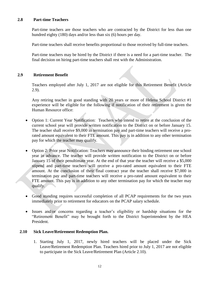# <span id="page-12-0"></span>**2.8 Part-time Teachers**

Part-time teachers are those teachers who are contracted by the District for less than one hundred eighty (180) days and/or less than six (6) hours per day.

Part-time teachers shall receive benefits proportional to those received by full-time teachers.

Part-time teachers may be hired by the District if there is a need for a part-time teacher. The final decision on hiring part-time teachers shall rest with the Administration.

# <span id="page-12-1"></span>**2.9 Retirement Benefit**

Teachers employed after July 1, 2017 are not eligible for this Retirement Benefit (Article 2.9).

Any retiring teacher in good standing with 20 years or more of Helena School District #1 experience will be eligible for the following if notification of their retirement is given the Human Resource office:

- Option 1: Current Year Notification: Teachers who intend to retire at the conclusion of the current school year will provide written notification to the District on or before January 15. The teacher shall receive \$9,000 in termination pay and part-time teachers will receive a prorated amount equivalent to their FTE amount. This pay is in addition to any other termination pay for which the teacher may qualify.
- Option 2: Prior year Notification: Teachers may announce their binding retirement one school year in advance. The teacher will provide written notification to the District on or before January 15 of their penultimate year. At the end of that year the teacher will receive a \$5,000 stipend and part-time teachers will receive a pro-rated amount equivalent to their FTE amount. At the conclusion of their final contract year the teacher shall receive \$7,000 in termination pay and part-time teachers will receive a pro-rated amount equivalent to their FTE amount. This pay is in addition to any other termination pay for which the teacher may qualify.
- Good standing requires successful completion of all PCAP requirements for the two years immediately prior to retirement for educators on the PCAP salary schedule.
- Issues and/or concerns regarding a teacher's eligibility or hardship situations for the "Retirement Benefit" may be brought forth to the District Superintendent by the HEA President.

# <span id="page-12-2"></span>**2.10 Sick Leave/Retirement Redemption Plan.**

1. Starting July 1, 2017, newly hired teachers will be placed under the Sick Leave/Retirement Redemption Plan. Teachers hired prior to July 1, 2017 are not eligible to participate in the Sick Leave/Retirement Plan (Article 2.10).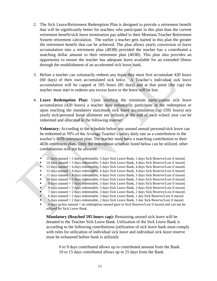- 2. The Sick Leave/Retirement Redemption Plan is designed to provide a retirement benefit that will be significantly better for teachers who participate in this plan than the current retirement benefit/sick leave termination pay added to their Montana Teacher Retirement System retirement calculation. The earlier a teacher gets started in this plan the greater the retirement benefit that can be achieved. The plan allows yearly conversion of leave accumulation into a retirement plan (403B) provided the teacher has a contributed a matching dollar amount to their retirement plan (403B). This plan also provides an opportunity to ensure the teacher has adequate leave available for an extended illness through the establishment of an accelerated sick leave bank.
- 3. Before a teacher can voluntarily redeem any leave they must first accumulate 420 hours (60 days) of their own accumulated sick leave. A Teacher's individual sick leave accumulation will be capped at 595 hours (85 days) and at that point (the cap) the teacher must start to redeem any excess leave or the leave will be lost.
- 4. **Leave Redemption Plan:** Upon reaching the minimum participation sick leave accumulation (420 hours) a teacher may voluntarily participate in the redemption or upon reaching the mandatory maximum sick leave accumulation cap (595 hours) any yearly sick/personal leave allotment not utilized at the end of each school year can be redeemed and allocated in the following manner:

**Voluntary:** According to the schedule below any unused annual personal/sick leave can be redeemed at 50% of the Average Teacher's salary daily rate as a contribution to the teacher's 403b retirement plan. The teacher must have a matching contribution to their 403b retirement plan. Only the redemption schedule listed below can be utilized, other combinations will not be allowed.

- 15 days unused = 5 days redeemable, 5 days Sick Leave Bank, 5 days Sick Reserve/Lost if maxed.
- 14 days unused = 5 days redeemable, 5 days Sick Leave Bank, 4 days Sick Reserve/Lost if maxed.
- $\blacksquare$  13 days unused  $=$  4 days redeemable, 5 days Sick Leave Bank, 4 days Sick Reserve/Lost if maxed.
- 12 days unused = 4 days redeemable, 4 days Sick Leave Bank, 4 days Sick Reserve/Lost if maxed.
- $\blacksquare$  11 days unused  $=$  4 days redeemable, 4 days Sick Leave Bank, 3 days Sick Reserve/Lost if maxed. 10 days unused  $= 3$  days redeemable, 4 days Sick Leave Bank, 3 days Sick Reserve/Lost if maxed.
- 9 days unused = 3 days redeemable, 3 days Sick Leave Bank, 3 days Sick Reserve/Lost if maxed.
- 8 days unused  $=$  3 days redeemable, 3 days Sick Leave Bank, 2 days Sick Reserve/Lost if maxed.
- 7 days unused = 2 days redeemable, 3 days Sick Leave Bank, 2 days Sick Reserve/Lost if maxed.
- 6 days unused  $= 2$  days redeemable, 3 days Sick Leave Bank, 1 day Sick Reserve/Lost if maxed.
- $5$  days unused  $= 2$  days redeemable, 2 days Sick Leave Bank, 1 day Sick Reserve/Lost if maxed.
- 4 days or less unused = no redemption unused goes to Sick Reserve/Lost if maxed and can not be utilized for Sick Leave Bank.

**Mandatory (Reached 595 hours cap):** Remaining unused sick leave will be donated to the Teacher Sick Leave Bank. Utilization of the Sick Leave Bank is according to the following contributions (utilization of sick leave bank must comply with rules for utilization of individual sick leave and individual sick leave reserve must be exhausted before bank is utilized):

0 to 9 days contributed allows up to contributed amount from the Bank. 10 to 15 days contributed allows up to 25 days from the Bank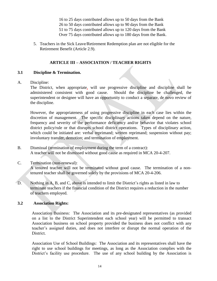16 to 25 days contributed allows up to 50 days from the Bank 26 to 50 days contributed allows up to 90 days from the Bank 51 to 75 days contributed allows up to 120 days from the Bank Over 75 days contributed allows up to 180 days from the Bank.

5. Teachers in the Sick Leave/Retirement Redemption plan are not eligible for the Retirement Benefit (Article 2.9).

# **ARTICLE III – ASSOCIATION / TEACHER RIGHTS**

# <span id="page-14-1"></span><span id="page-14-0"></span>**3.1 Discipline & Termination.**

A. Discipline:

The District, when appropriate, will use progressive discipline and discipline shall be administered consistent with good cause. Should the discipline be challenged, the superintendent or designee will have an opportunity to conduct a separate, de novo review of the discipline.

However, the appropriateness of using progressive discipline in each case lies within the discretion of management. The specific disciplinary actions taken depend on the nature, frequency and severity of the performance deficiency and/or behavior that violates school district policy/rule or that disrupts school district operations. Types of disciplinary action, which could be initiated are: verbal reprimand; written reprimand; suspension without pay; involuntary transfer, demotion; and termination of employment.

- B. Dismissal (termination of employment during the term of a contract): A teacher will not be dismissed without good cause as required in MCA 20-4-207.
- C. Termination (non-renewal):

A tenured teacher will not be terminated without good cause. The termination of a nontenured teacher shall be governed solely by the provisions of MCA 20-4-206.

D. Nothing in A, B, and C, above is intended to limit the District's rights as listed in law to terminate teachers if the financial condition of the District requires a reduction in the number of teachers employed.

# <span id="page-14-2"></span>**3.2 Association Rights:**

Association Business: The Association and its pre-designated representatives (as provided on a list to the District Superintendent each school year) will be permitted to transact Association business on school property provided the business does not conflict with any teacher's assigned duties, and does not interfere or disrupt the normal operation of the District.

Association Use of School Buildings: The Association and its representatives shall have the right to use school buildings for meetings, as long as the Association complies with the District's facility use procedure. The use of any school building by the Association is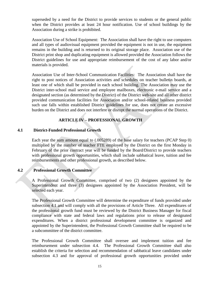superseded by a need for the District to provide services to students or the general public when the District provides at least 24 hour notification. Use of school buildings by the Association during a strike is prohibited.

Association Use of School Equipment: The Association shall have the right to use computers and all types of audiovisual equipment provided the equipment is not in use, the equipment remains in the building and is returned to its original storage place. Association use of the District print shop and duplicating equipment is allowed provided the Association follows the District guidelines for use and appropriate reimbursement of the cost of any labor and/or materials is provided.

Association Use of Inter-School Communication Facilities: The Association shall have the right to post notices of Association activities and schedules on teacher bulletin boards, at least one of which shall be provided in each school building. The Association may use the District inter-school mail service and employee mailboxes, electronic e-mail service and a designated section (as determined by the District) of the District web-site and all other district provided communication facilities for Association and/or school-related business provided such use falls within established District guidelines for use, does not create an excessive burden on the District and does not interfere or disrupt the normal operations of the District.

# **ARTICLE IV – PROFESSIONAL GROWTH**

# <span id="page-15-1"></span><span id="page-15-0"></span>**4.1 District-Funded Professional Growth**

Each year the sum amount equal to (.005289) of the base salary for teachers (PCAP Step 0) multiplied by the number of teacher FTE employed by the District on the first Monday in February of the prior contract year will be funded by the Board/District to provide teachers with professional growth opportunities, which shall include sabbatical leave, tuition and fee reimbursements and other professional growth, as described below.

# <span id="page-15-2"></span>**4.2 Professional Growth Committee**

A Professional Growth Committee, comprised of two (2) designees appointed by the Superintendent and three (3) designees appointed by the Association President, will be selected each year.

The Professional Growth Committee will determine the expenditure of funds provided under subsection 4.1 and will comply with all the provisions of Article Three. All expenditures of the professional growth fund must be reviewed by the District Business Manager for fiscal compliance with state and federal laws and regulations prior to release of designated expenditures*.* When a district professional development committee is organized and appointed by the Superintendent, the Professional Growth Committee shall be required to be a subcommittee of the district committee.

The Professional Growth Committee shall oversee and implement tuition and fee reimbursement under subsection 4.4. The Professional Growth Committee shall also establish the criteria for selection and recommendation of sabbatical leave candidates under subsection 4.3 and for approval of professional growth opportunities provided under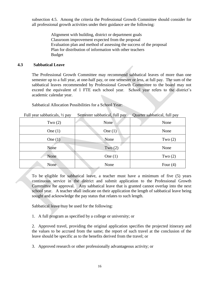subsection 4.5. Among the criteria the Professional Growth Committee should consider for all professional growth activities under their guidance are the following:

> Alignment with building, district or department goals Classroom improvement expected from the proposal Evaluation plan and method of assessing the success of the proposal Plan for distribution of information with other teachers Budget

# <span id="page-16-0"></span>**4.3 Sabbatical Leave**

The Professional Growth Committee may recommend sabbatical leaves of more than one semester up to a full year, at one-half pay, or one semester or less, at full pay. The sum of the sabbatical leaves recommended by Professional Growth Committee to the board may not exceed the equivalent of 1 FTE each school year. School year refers to the district's academic calendar year.

Sabbatical Allocation Possibilities for a School Year:

| Full year sabbaticals, $\frac{1}{2}$ pay | Semester sabbatical, full pay | Quarter sabbatical, full pay |
|------------------------------------------|-------------------------------|------------------------------|
| Two $(2)$                                | None                          | None                         |
| One $(1)$                                | One $(1)$                     | None                         |
| One $(1)$                                | None                          | Two $(2)$                    |
| None                                     | Two $(2)$                     | None                         |
| None                                     | One $(1)$                     | Two $(2)$                    |
| None                                     | None                          | Four $(4)$                   |

To be eligible for sabbatical leave, a teacher must have a minimum of five (5) years continuous service in the district and submit application to the Professional Growth Committee for approval. Any sabbatical leave that is granted cannot overlap into the next school year. A teacher shall indicate on their application the length of sabbatical leave being sought and acknowledge the pay status that relates to such length.

Sabbatical leave may be used for the following:

1. A full program as specified by a college or university; or

2. Approved travel, providing the original application specifies the projected itinerary and the values to be accrued from the same; the report of such travel at the conclusion of the leave should be specific as to the benefits derived from the travel; or

3. Approved research or other professionally advantageous activity; or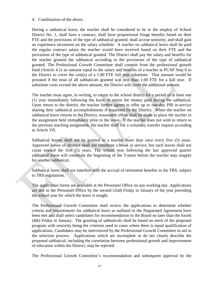#### 4. Combination of the above.

During a sabbatical leave, the teacher shall be considered to be in the employ of School District No. 1, shall have a contract, shall have proportional fringe benefits based on their FTE and the provisions of the type of sabbatical granted, shall accrue seniority, and shall gain an experience increment on the salary schedule. A teacher on sabbatical leave shall be paid the regular contract salary the teacher would have received based on their FTE and the provisions of the type of sabbatical granted. The District shall pay the salary and benefits for the teacher granted the sabbatical according to the provisions of the type of sabbatical granted. The Professional Growth Committee shall commit from the professional growth fund (Article 4.1) an amount equal to the salary and benefits of a teacher at PCAP Step 0 to the District to cover the cost(s) of a 1.00 FTE full year substitute. That amount would be prorated if the total of all sabbaticals granted was less than 1.00 FTE for a full year. If substitute costs exceed the above amount, the District will cover the additional amount.

The teacher must agree, in writing, to return to the school district for a period of at least one (1) year immediately following the leave or return the money paid during the sabbatical. Upon return to the district, the teacher further agrees to offer up to one-day PIR in-service sharing their sabbatical accomplishments if requested by the District. When the teacher on sabbatical leave returns to the District, reasonable effort shall be made to place the teacher in the assignment held immediately prior to the leave. If the teacher does not wish to return to the previous teaching assignment, the teacher shall file a voluntary transfer request according to Article VII.

Sabbatical leaves shall not be granted to a teacher more than once every five (5) years. Approved leaves of absence shall not constitute a break in service, but such leaves shall not count toward the five (5) years. The school year following the last approved quarter sabbatical leave will constitute the beginning of the 5-years before the teacher may reapply for another sabbatical.

Sabbatical leave shall not interfere with the accrual of retirement benefits in the TRS, subject to TRS regulations.

The application forms are available at the Personnel Office on any working day. Applications are due in the Personnel Office by the second (2nd) Friday in January of the year preceding the school year for which the leave is sought.

The Professional Growth Committee shall review the applications to determine whether criteria and requirements for sabbatical leave as outlined in the Negotiated Agreement have been met and shall select candidates for recommendation to the Board no later than the fourth (4th) Friday in January. The granting of sabbaticals shall be based on merit of the proposed program with seniority being the criterion used in cases where there is equal qualification of applications. Candidates may be interviewed by the Professional Growth Committee to aid in the selection process. Applications which are incomplete or do not clearly describe the proposed sabbatical, including the correlation between professional growth and improvement of education within the District, may be rejected.

The Professional Growth Committee's recommendation and subsequent approval by the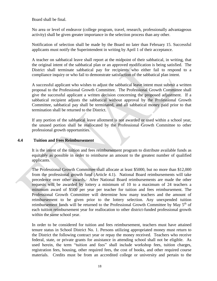Board shall be final.

No area or level of endeavor (college program, travel, research, professionally advantageous activity) shall be given greater importance in the selection process than any other.

Notification of selection shall be made by the Board no later than February 15. Successful applicants must notify the Superintendent in writing by April 1 of their acceptance.

A teacher on sabbatical leave shall report at the midpoint of their sabbatical, in writing, that the original intent of the sabbatical plan or an approved modification is being satisfied. The District shall terminate sabbatical pay for recipients who either fail to respond to a compliance inquiry or who fail to demonstrate satisfaction of the sabbatical plan intent.

A successful applicant who wishes to adjust the sabbatical leave intent must submit a written proposal to the Professional Growth Committee. The Professional Growth Committee shall give the successful applicant a written decision concerning the proposed adjustment. If a sabbatical recipient adjusts the sabbatical without approval by the Professional Growth Committee, sabbatical pay shall be terminated, and all sabbatical money paid prior to that termination shall be returned to the District.

If any portion of the sabbatical leave allotment is not awarded or used within a school year, the unused portion shall be reallocated by the Professional Growth Committee to other professional growth opportunities.

# <span id="page-18-0"></span>**4.4 Tuition and Fees Reimbursement**

It is the intent of the tuition and fees reimbursement program to distribute available funds as equitably as possible in order to reimburse an amount to the greatest number of qualified applicants.

The Professional Growth Committee shall allocate at least \$5000, but no more than \$12,000 from the professional growth fund (Article 4.1). National Board reimbursements will take precedence over other awards. After National Board reimbursements are made the other requests will be awarded by lottery a minimum of 10 to a maximum of 24 teachers a minimum award of \$500 per year per teacher for tuition and fees reimbursement. The Professional Growth Committee will determine how many teachers and the amount of reimbursement to be given prior to the lottery selection. Any unexpended tuition reimbursement funds will be returned to the Professional Growth Committee by May  $5<sup>th</sup>$  of each tuition reimbursement year for reallocation to other district-funded professional growth within the same school year.

In order to be considered for tuition and fees reimbursement, teachers must have attained tenure status in School District No. 1. Persons utilizing appropriated money must return to the District the following contract year or repay the money received. Teachers who receive federal, state, or private grants for assistance in attending school shall not be eligible. As used herein, the term "tuition and fees" shall include workshop fees, tuition charges, registration fees, housing, other required fees, the cost of books, and other required course materials. Credits must be from an accredited college or university and pertain to the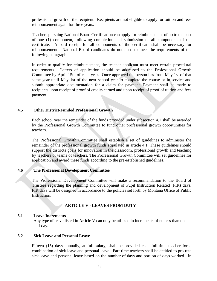professional growth of the recipient. Recipients are not eligible to apply for tuition and fees reimbursement again for three years.

Teachers pursuing National Board Certification can apply for reimbursement of up to the cost of one (1) component, following completion and submission of all components of the certificate. A paid receipt for all components of the certificate shall be necessary for reimbursement. National Board candidates do not need to meet the requirements of the following paragraph.

In order to qualify for reimbursement, the teacher applicant must meet certain procedural requirements. Letters of application should be addressed to the Professional Growth Committee by April 15th of each year. Once approved the person has from May 1st of that same year until May 1st of the next school year to complete the course or in-service and submit appropriate documentation for a claim for payment. Payment shall be made to recipients upon receipt of proof of credits earned and upon receipt of proof of tuition and fees payment.

# <span id="page-19-0"></span>**4.5 Other District-Funded Professional Growth**

Each school year the remainder of the funds provided under subsection 4.1 shall be awarded by the Professional Growth Committee to fund other professional growth opportunities for teachers.

The Professional Growth Committee shall establish a set of guidelines to administer the remainder of the professional growth funds stipulated in article 4.1. These guidelines should support the districts goals for innovation in the classroom, professional growth and teaching by teachers or teams of teachers. The Professional Growth Committee will set guidelines for application and award these funds according to the pre-established guidelines.

#### <span id="page-19-1"></span>**4.6 The Professional Development Committee**

The Professional Development Committee will make a recommendation to the Board of Trustees regarding the planning and development of Pupil Instruction Related (PIR) days. PIR days will be designed in accordance to the policies set forth by Montana Office of Public Instruction.

# **ARTICLE V - LEAVES FROM DUTY**

# <span id="page-19-3"></span><span id="page-19-2"></span>**5.1 Leave Increments**

Any type of leave listed in Article V can only be utilized in increments of no less than onehalf day.

#### <span id="page-19-4"></span>**5.2 Sick Leave and Personal Leave**

Fifteen (15) days annually, at full salary, shall be provided each full-time teacher for a combination of sick leave and personal leave. Part-time teachers shall be entitled to pro-rata sick leave and personal leave based on the number of days and portion of days worked. In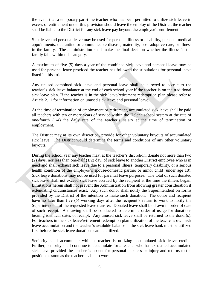the event that a temporary part-time teacher who has been permitted to utilize sick leave in excess of entitlement under this provision should leave the employ of the District, the teacher shall be liable to the District for any sick leave pay beyond the employee's entitlement.

Sick leave and personal leave may be used for personal illness or disability, personal medical appointments, quarantine or communicable disease, maternity, post-adoptive care, or illness in the family. The administration shall make the final decision whether the illness in the family falls within this category.

A maximum of five (5) days a year of the combined sick leave and personal leave may be used for personal leave provided the teacher has followed the stipulations for personal leave listed in this article.

Any unused combined sick leave and personal leave shall be allowed to accrue to the teacher's sick leave balance at the end of each school year if the teacher is on the traditional sick leave plan. If the teacher is in the sick leave/retirement redemption plan please refer to Article 2.11 for information on unused sick leave and personal leave.

At the time of termination of employment or retirement, accumulated sick leave shall be paid all teachers with ten or more years of service within the Helena school system at the rate of one-fourth (1/4) the daily rate of the teacher's salary at the time of termination of employment.

The District may at its own discretion, provide for other voluntary buyouts of accumulated sick leave. The District would determine the terms and conditions of any other voluntary buyouts.

During the school year any teacher may, at the teacher's discretion, donate not more than two  $(2)$  days, nor less than one-half  $(1/2)$  day, of sick leave to another District employee who is in need and shall exhaust sick leave due to a personal illness, temporary disability, or a serious health condition of the employee's spouse/domestic partner or-minor child (under age 18). Sick leave donations may not be used for parental leave purposes. The total of such donated sick leave shall not exceed sick leave accrued by the recipient at the time the illness began. Limitations herein shall not prevent the Administration from allowing greater consideration if extenuating circumstances exist. Any such donor shall notify the Superintendent on forms provided by the District of the intention to make such donation. The donor and recipient have no later than five (5) working days after the recipient's return to work to notify the Superintendent of the requested leave transfer. Donated leave shall be drawn in order of date of such receipt. A drawing shall be conducted to determine order of usage for donations bearing identical dates of receipt. Any unused sick leave shall be returned to the donor(s). For teachers in the sick leave/retirement redemption plan utilization of the teacher's own sick leave accumulation and the teacher's available balance in the sick leave bank must be utilized first before the sick leave donations can be utilized.

Seniority shall accumulate while a teacher is utilizing accumulated sick leave credits. Further, seniority shall continue to accumulate for a teacher who has exhausted accumulated sick leave provided the teacher is absent for personal sickness or injury and returns to the position as soon as the teacher is able to work.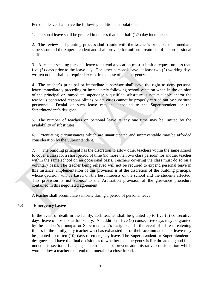Personal leave shall have the following additional stipulations:

1. Personal leave shall be granted in no less than one-half  $(1/2)$  day increments.

2. The review and granting process shall reside with the teacher's principal or immediate supervisor and the Superintendent and shall provide for uniform treatment of the professional staff.

3. A teacher seeking personal leave to extend a vacation must submit a request no less than five (5) days prior to the leave day. For other personal leave, at least two (2) working days written notice shall be required except in the case of an emergency.

4. The teacher's principal or immediate supervisor shall have the right to deny personal leave immediately preceding or immediately following school vacation when in the opinion of the principal or immediate supervisor a qualified substitute is not available and/or the teacher's contracted responsibilities or activities cannot be properly carried out by substitute personnel. Denial of such leave may be appealed to the Superintendent or the Superintendent's designee.

5. The number of teachers on personal leave at any one time may be limited by the availability of substitutes.

6. Extenuating circumstances which are unanticipated and unpreventable may be afforded consideration by the Superintendent.

7. The building principal has the discretion to allow other teachers within the same school to cover a class for a short period of time (no more than two class periods) for another teacher within the same school on an occasional basis. Teachers covering the class must do so on a voluntary basis. The teacher being relieved will not be required to expend personal leave in this instance. Implementation of this provision is at the discretion of the building principal whose decision will be based on the best interests of the school and the students affected. This provision is not subject to the Arbitration provision of the grievance procedure contained in this negotiated agreement.

A teacher shall accumulate seniority during a period of personal leave.

# <span id="page-21-0"></span>**5.3 Emergency Leave**

In the event of death in the family, each teacher shall be granted up to five (5) consecutive days, leave of absence at full salary. An additional five (5) consecutive days may be granted by the teacher's principal or Superintendent's designee. In the event of a life threatening illness in the family, any teacher who has exhausted all of their accumulated sick leave may be granted up to ten (10) days of emergency leave. The Superintendent or Superintendent's designee shall have the final decision as to whether the emergency is life threatening and falls under this section. Language herein shall not prevent administrative consideration which would allow a teacher to attend the funeral of a close friend.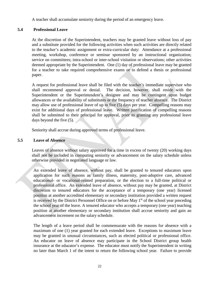A teacher shall accumulate seniority during the period of an emergency leave.

# <span id="page-22-0"></span>**5.4 Professional Leave**

At the discretion of the Superintendent, teachers may be granted leave without loss of pay and a substitute provided for the following activities when such activities are directly related to the teacher's academic assignment or extra-curricular duty: Attendance at a professional meeting, workshop, conference or seminar sponsored by an instructional organization; service on committees; intra-school or inter-school visitation or observations; other activities deemed appropriate by the Superintendent. One (1) day of professional leave may be granted for a teacher to take required comprehensive exams or to defend a thesis or professional paper.

A request for professional leave shall be filed with the teacher's immediate supervisor who shall recommend approval or denial. The decision, however, shall reside with the Superintendent or the Superintendent's designee and may be contingent upon budget allowances or the availability of substitutes or the frequency of teacher absence. The District may allow use of professional leave of up to five (5) days per year. Compelling reasons may exist for additional days of professional leave. Written justification of compelling reasons shall be submitted to their principal for approval, prior to granting any professional leave days beyond the five (5).

Seniority shall accrue during approved terms of professional leave.

# <span id="page-22-1"></span>**5.5 Leave of Absence**

Leaves of absence without salary approved for a time in excess of twenty (20) working days shall not be included in computing seniority or advancement on the salary schedule unless otherwise provided in negotiated language or law.

An extended leave of absence, without pay, shall be granted to tenured educators upon application for such reasons as family illness, maternity, post-adoptive care, advanced educational- or vocational-related preparation, or the election to a full-time political or professional office. An extended leave of absence, without pay may be granted, at District discretion to tenured educators for the acceptance of a temporary (one year) licensed position at another accredited elementary or secondary institution provided a written request is received by the District Personnel Office on or before May  $1<sup>st</sup>$  of the school year preceding the school year of the leave. A tenured educator who accepts a temporary (one year) teaching position at another elementary or secondary institution shall accrue seniority and gain an advancement increment on the salary schedule.

The length of a leave period shall be commensurate with the reasons for absence with a maximum of one (1) year granted for each extended leave. Exceptions to maximum leave may be granted in unusual circumstances, such as elected political or professional office. An educator on leave of absence may participate in the School District group health insurance at the educator's expense. The educator must notify the Superintendent in writing no later than March 1 of the intent to return the following school year. Failure to provide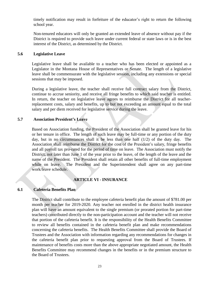timely notification may result in forfeiture of the educator's right to return the following school year.

Non-tenured educators will only be granted an extended leave of absence without pay if the District is required to provide such leave under current federal or state laws or is in the best interest of the District, as determined by the District.

#### <span id="page-23-0"></span>**5.6 Legislative Leave**

Legislative leave shall be available to a teacher who has been elected or appointed as a Legislator in the Montana House of Representatives or Senate. The length of a legislative leave shall be commensurate with the legislative session, including any extensions or special sessions that may be imposed.

During a legislative leave, the teacher shall receive full contract salary from the District, continue to accrue seniority, and receive all fringe benefits to which said teacher is entitled. In return, the teacher on legislative leave agrees to reimburse the District for all teacherreplacement costs, salary and benefits, up to but not exceeding an amount equal to the total salary and per diem received for legislative service during the leave.

#### <span id="page-23-1"></span>**5.7 Association President's Leave**

Based on Association funding, the President of the Association shall be granted leave for his or her tenure in office. The length of such leave may be full-time or any portion of the duty day, but in no circumstances shall it be less than one half (1/2) of the duty day. The Association shall reimburse the District for the cost of the President's salary, fringe benefits and all payroll tax pro-rated for the period of time on leave. The Association must notify the District, not later than June 1 of the year prior to the leave, of the length of the leave and the name of the President. The President shall retain all other benefits of full-time employment while on leave. The President and the Superintendent shall agree on any part-time work/leave schedule.

#### **ARTICLE VI - INSURANCE**

#### <span id="page-23-3"></span><span id="page-23-2"></span>**6.1 Cafeteria Benefits Plan**

The District shall contribute to the employee cafeteria benefit plan the amount of \$781.00 per month per teacher for 2019-2020. Any teacher not enrolled in the district health insurance plan will have an amount equivalent to the single premium (or prorated portion for part-time teachers) contributed directly to the non-participation account and the teacher will not receive that portion of the cafeteria benefit*.* It is the responsibility of the Health Benefits Committee to review all benefits contained in the cafeteria benefit plan and make recommendations concerning the cafeteria benefits. The Health Benefits Committee shall provide the Board of Trustees and the Association with information regarding any recommendations for changes in the cafeteria benefit plan prior to requesting approval from the Board of Trustees. If maintenance of benefits costs more than the above appropriate negotiated amount, the Health Benefits Committee may recommend changes in the benefits or in the premium structure to the Board of Trustees.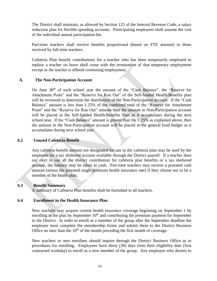The District shall maintain, as allowed by Section 125 of the Internal Revenue Code, a salary reduction plan for flexible spending accounts. Participating employees shall assume the cost of the individual annual participation fee.

Part-time teachers shall receive benefits proportional (based on FTE amount) to those received by full-time teachers.

Cafeteria Plan benefit contributions for a teacher who has been temporarily employed to replace a teacher on leave shall cease with the termination of that temporary employment except as the teacher is offered continuing employment.

# **A. The Non-Participation Account**

On June 30<sup>th</sup> of each school year the amount of the "Cash Balance", the "Reserve for Attachment Point" and the "Reserve for Run Out" of the Self-funded Health/Benefits plan will be reviewed to determine the distribution of the Non-Participation account. If the "Cash Balance" amount is less than 1.25% of the combined total of the "Reserve for Attachment Point" and the "Reserve for Run Out" amount then the amount in Non-Participation account will be placed in the Self-funded Health/Benefits Plan as it accumulates during the next school year. If the "Cash Balance" amount is greater than the 1.25% as explained above, then the amount in the Non-Participation account will be placed in the general fund budget as it accumulates during next school year.

# <span id="page-24-0"></span>**6.2 Unused Cafeteria Benefit**

Any cafeteria benefit amount not designated for use in the cafeteria plan may be used by the employee for a tax sheltered account available through the District payroll. If a teacher does not elect to use all the district contribution for cafeteria plan benefits or a tax sheltered account, the balance may be taken as cash. Part-time teachers may receive a prorated cash amount (minus the prorated single premium health insurance rate) if they choose not to be a member of the health plan.

# <span id="page-24-1"></span>**6.3 Benefit Summary**

A summary of Cafeteria Plan benefits shall be furnished to all teachers.

# <span id="page-24-2"></span>**6.4 Enrollment in the Health Insurance Plan**

New teachers may acquire current health insurance coverage beginning on September 1 by enrolling in the plan by September  $10<sup>th</sup>$  and contributing the premium payment for September to the District. In order to enroll as a member of the group after the September deadline the employee must complete the membership forms and submit them to the District Business Office no later than the  $10<sup>th</sup>$  of the month preceding the first month of coverage.

New teachers or new enrollees should inquire through the District Business Office as to procedures for enrolling. Employees have thirty (30) days from their eligibility date (first contracted workday) to enroll as a new member of the group. Any employee who desires to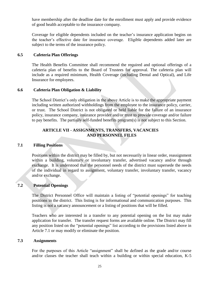have membership after the deadline date for the enrollment must apply and provide evidence of good health acceptable to the insurance company.

Coverage for eligible dependents included on the teacher's insurance application begins on the teacher's effective date for insurance coverage. Eligible dependents added later are subject to the terms of the insurance policy.

#### <span id="page-25-0"></span>**6.5 Cafeteria Plan Offerings**

The Health Benefits Committee shall recommend the required and optional offerings of a cafeteria plan of benefits to the Board of Trustees for approval. The cafeteria plan will include as a required minimum, Health Coverage (including Dental and Optical), and Life Insurance for employees.

# <span id="page-25-1"></span>**6.6 Cafeteria Plan Obligation & Liability**

The School District's only obligation in the above Article is to make the appropriate payment including written authorized withholdings from the employee to the insurance policy, carrier, or trust. The School District is not obligated or held liable for the failure of an insurance policy, insurance company, insurance provider and/or trust to provide coverage and/or failure to pay benefits. The partially self-funded benefits program(s) is not subject to this Section.

# **ARTICLE VII - ASSIGNMENTS, TRANSFERS, VACANCIES AND PERSONNEL FILES**

#### <span id="page-25-3"></span><span id="page-25-2"></span>**7.1 Filling Positions**

Positions within the district may be filled by, but not necessarily in linear order, reassignment within a building, voluntary or involuntary transfer, advertised vacancy and/or through exchange. It is understood that the personnel needs of the district must supersede the needs of the individual in regard to assignment, voluntary transfer, involuntary transfer, vacancy and/or exchange.

# <span id="page-25-4"></span>**7.2 Potential Openings**

The District Personnel Office will maintain a listing of "potential openings" for teaching positions in the district. This listing is for informational and communication purposes. This listing is not a vacancy announcement or a listing of positions that will be filled.

Teachers who are interested in a transfer to any potential opening on the list may make application for transfer. The transfer request forms are available online. The District may fill any position listed on the "potential openings" list according to the provisions listed above in Article 7.1 or may modify or eliminate the position.

#### <span id="page-25-5"></span>**7.3 Assignments**

For the purposes of this Article "assignment" shall be defined as the grade and/or course and/or classes the teacher shall teach within a building or within special education, K-5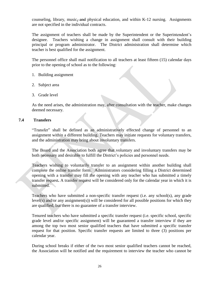counseling, library, music<del>, and</del> physical education, and within K-12 nursing. Assignments are not specified in the individual contracts.

The assignment of teachers shall be made by the Superintendent or the Superintendent's designee. Teachers wishing a change in assignment shall consult with their building principal or program administrator. The District administration shall determine which teacher is best qualified for the assignment.

The personnel office shall mail notification to all teachers at least fifteen (15) calendar days prior to the opening of school as to the following:

- 1. Building assignment
- 2. Subject area
- 3. Grade level

As the need arises, the administration may, after consultation with the teacher, make changes deemed necessary.

# <span id="page-26-0"></span>**7.4 Transfers**

"Transfer" shall be defined as an administratively effected change of personnel to an assignment within a different building. Teachers may initiate requests for voluntary transfers, and the administration may bring about involuntary transfers.

The Board and the Association both agree that voluntary and involuntary transfers may be both necessary and desirable to fulfill the District's policies and personnel needs.

Teachers wishing to voluntarily transfer to an assignment within another building shall complete the online transfer form. Administrators considering filling a District determined opening with a transfer may fill the opening with any teacher who has submitted a timely transfer request**.** A transfer request will be considered only for the calendar year in which it is submitted.

Teachers who have submitted a non-specific transfer request (i.e. any school(s), any grade level(s) and/or any assignment(s)) will be considered for all possible positions for which they are qualified, but there is no guarantee of a transfer interview.

Tenured teachers who have submitted a specific transfer request (i.e. specific school, specific grade level and/or specific assignment) will be guaranteed a transfer interview if they are among the top two most senior qualified teachers that have submitted a specific transfer request for that position. Specific transfer requests are limited to three (3) positions per calendar year.

During school breaks if either of the two most senior qualified teachers cannot be reached, the Association will be notified and the requirement to interview the teacher who cannot be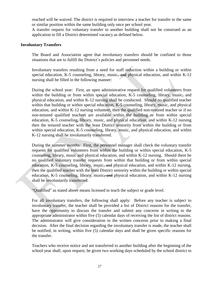reached will be waived. The district is required to interview a teacher for transfer to the same or similar position within the same building only once per school year*.* 

A transfer request for voluntary transfer to another building shall not be construed as an application to fill a District determined vacancy as defined below.

#### <span id="page-27-0"></span>**Involuntary Transfers**

The Board and Association agree that involuntary transfers should be confined to those situations that are to fulfill the District's policies and personnel needs.

Involuntary transfers resulting from a need for staff reduction within a building or within special education, K-5 counseling, library, music, and physical education, and within K-12 nursing shall be filled in the following manner:

During the school year: First, an open administrative request for qualified volunteers from within the building or from within special education, K-5 counseling, library, music, and physical education, and within K-12 nursing shall be conducted. Should no qualified teacher within that building or within special education, K-5 counseling, library, music, and physical education, and within K-12 nursing volunteer, then the qualified non-tenured teacher or if no non-tenured qualified teachers are available within the building or from within special education, K-5 counseling, library, music, and physical education, and within K-12 nursing then the tenured teacher with the least District seniority from within the building or from within special education, K-5 counseling, library, music, and physical education, and within K-12 nursing shall be involuntarily transferred.

During the summer months: First, the personnel manager shall check the voluntary transfer requests for qualified volunteers from within the building or within special education, K-5 counseling, library, music and physical education, and within K-12 nursing. Should there be no qualified voluntary transfer requests from within that building or from within special education, K-5 counseling, library, music<del>, and</del> physical education, and within K-12 nursing, then the qualified teacher with the least District seniority within the building or within special education, K-5 counseling, library, music<del>, and</del> physical education, and within K-12 nursing shall be involuntarily transferred.

"Qualified" as stated above means licensed to teach the subject or grade level.

For all involuntary transfers, the following shall apply: Before any teacher is subject to involuntary transfer, the teacher shall be provided a list of District reasons for the transfer, have the opportunity to discuss the transfer and submit any concerns in writing to the appropriate administrator within five (5) calendar days of receiving the list of district reasons. The administrator will give consideration to the written concerns prior to making a final decision. After the final decision regarding the involuntary transfer is made, the teacher shall be notified, in writing, within five (5) calendar days and shall be given specific reasons for the transfer.

Teachers who receive notice and are transferred to another building after the beginning of the school year shall, upon request, be given two working days scheduled by the school district to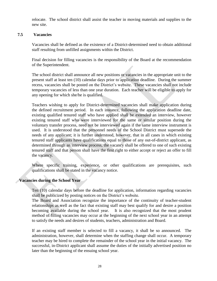relocate. The school district shall assist the teacher in moving materials and supplies to the new site.

#### <span id="page-28-0"></span>**7.5 Vacancies**

Vacancies shall be defined as the existence of a District-determined need to obtain additional staff resulting from unfilled assignments within the District.

Final decision for filling vacancies is the responsibility of the Board at the recommendation of the Superintendent.

The school district shall announce all new positions or vacancies in the appropriate unit to the present staff at least ten (10) calendar days prior to application deadline. During the summer recess, vacancies shall be posted on the District's website. These vacancies shall not include temporary vacancies of less than one year duration. Each teacher will be eligible to apply for any opening for which she/he is qualified.

Teachers wishing to apply for District-determined vacancies shall make application during the defined recruitment period. In each instance, following the application deadline date, existing qualified tenured staff who have applied shall be extended an interview, however existing tenured staff who were interviewed for the same or similar position during the voluntary transfer process, need not be interviewed again if the same interview instrument is used. It is understood that the personnel needs of the School District must supersede the needs of any applicant; it is further understood, however, that in all cases in which existing tenured staff applicants have qualifications equal to those of any out-of-district applicant, as determined through an interview process, the vacancy shall be offered to one of such existing tenured staff and that person shall have the first right to either accept or reject an offer to fill the vacancy.

Where specific training, experience, or other qualifications are prerequisites, such qualifications shall be stated in the vacancy notice.

# <span id="page-28-1"></span>**Vacancies during the School Year**

Ten (10) calendar days before the deadline for application, information regarding vacancies shall be publicized by posting notices on the District's website.

The Board and Association recognize the importance of the continuity of teacher-student relationships as well as the fact that existing staff may best qualify for and desire a position becoming available during the school year. It is also recognized that the most prudent method of filling vacancies may occur at the beginning of the next school year in an attempt to satisfy the needs and desires of students, teachers, administration and Board.

If an existing staff member is selected to fill a vacancy, it shall be so announced. The administration, however, shall determine when the staffing change shall occur. A temporary teacher may be hired to complete the remainder of the school year in the initial vacancy. The successful, in-District applicant shall assume the duties of the initially advertised position no later than the beginning of the ensuing school year.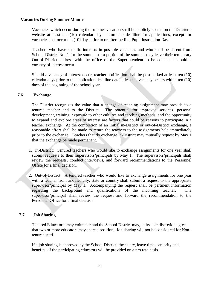#### <span id="page-29-0"></span>**Vacancies During Summer Months**

Vacancies which occur during the summer vacation shall be publicly posted on the District's website at least ten (10) calendar days before the deadline for applications, except for vacancies that occur ten (10) days prior to or after the first Pupil Instruction Day.

Teachers who have specific interests in possible vacancies and who shall be absent from School District No. 1 for the summer or a portion of the summer may leave their temporary Out-of-District address with the office of the Superintendent to be contacted should a vacancy of interest occur.

Should a vacancy of interest occur, teacher notification shall be postmarked at least ten (10) calendar days prior to the application deadline date unless the vacancy occurs within ten (10) days of the beginning of the school year.

# <span id="page-29-1"></span>**7.6 Exchange**

The District recognizes the value that a change of teaching assignment may provide to a tenured teacher and to the District. The potential for improved services, personal development, training, exposure to other cultures and teaching methods, and the opportunity to expand and explore areas of interest are factors that could be reasons to participate in a teacher exchange. At the completion of an initial in-District or out-of-District exchange, a reasonable effort shall be made to return the teachers to the assignments held immediately prior to the exchange. Teachers that do exchange in-District may mutually request by May 1 that the exchange be made permanent.

- 1. In-District: Tenured teachers who would like to exchange assignments for one year shall submit requests to their supervisors/principals by May 1. The supervisors/principals shall review the requests, conduct interviews, and forward recommendations to the Personnel Office for a final decision.
- 2. Out-of-District: A tenured teacher who would like to exchange assignments for one year with a teacher from another city, state or country shall submit a request to the appropriate supervisor/principal by May 1. Accompanying the request shall be pertinent information regarding the background and qualifications of the incoming teacher. The supervisor/principal shall review the request and forward the recommendation to the Personnel Office for a final decision.

# <span id="page-29-2"></span>**7.7 Job Sharing**

Tenured Educator's may volunteer and the School District may, in its sole discretion agree that two or more educators may share a position. Job sharing will not be considered for Nontenured staff.

If a job sharing is approved by the School District, the salary, leave time, seniority and benefits of the participating educators will be provided on a pro rata basis.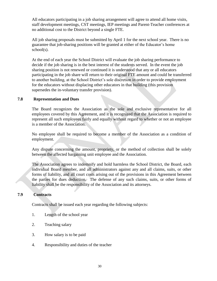All educators participating in a job sharing arrangement will agree to attend all home visits, staff development meetings, CST meetings, IEP meetings and Parent-Teacher conferences at no additional cost to the District beyond a single FTE.

All job sharing proposals must be submitted by April 1 for the next school year. There is no guarantee that job-sharing positions will be granted at either of the Educator's home school(s).

At the end of each year the School District will evaluate the job sharing performance to decide if the job sharing is in the best interest of the students served. In the event the job sharing position is not renewed or continued it is understood that any or all educators participating in the job share will return to their original FTE amount and could be transferred to another building, at the School District's sole discretion in order to provide employment for the educators without displacing other educators in that building (this provision supersedes the in-voluntary transfer provision).

# <span id="page-30-0"></span>**7.8 Representation and Dues**

The Board recognizes the Association as the sole and exclusive representative for all employees covered by this Agreement, and it is recognized that the Association is required to represent all such employees fairly and equally without regard to whether or not an employee is a member of the Association.

No employee shall be required to become a member of the Association as a condition of employment.

Any dispute concerning the amount, propriety, or the method of collection shall be solely between the affected bargaining unit employee and the Association.

The Association agrees to indemnify and hold harmless the School District, the Board, each individual Board member, and all administrators against any and all claims, suits, or other forms of liability, and all court costs arising out of the provisions in this Agreement between the parties for dues deduction. The defense of any such claims, suits, or other forms of liability shall be the responsibility of the Association and its attorneys.

#### <span id="page-30-1"></span>**7.9 Contracts**

Contracts shall be issued each year regarding the following subjects:

- 1. Length of the school year
- 2. Teaching salary
- 3. How salary is to be paid
- 4. Responsibility and duties of the teacher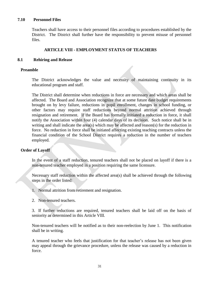#### <span id="page-31-0"></span>**7.10 Personnel Files**

Teachers shall have access to their personnel files according to procedures established by the District. The District shall further have the responsibility to prevent misuse of personnel files.

#### **ARTICLE VIII - EMPLOYMENT STATUS OF TEACHERS**

#### <span id="page-31-2"></span><span id="page-31-1"></span>**8.1 Rehiring and Release**

#### <span id="page-31-3"></span>**Preamble**

The District acknowledges the value and necessity of maintaining continuity in its educational program and staff.

The District shall determine when reductions in force are necessary and which areas shall be affected. The Board and Association recognize that at some future date budget requirements brought on by levy failure, reductions in pupil enrollment, changes in school funding, or other factors may require staff reductions beyond normal attrition achieved through resignation and retirement. If the Board has formally initiated a reduction in force, it shall notify the Association within four (4) calendar days of its decision. Such notice shall be in writing and shall indicate the area(s) which may be affected and reason(s) for the reduction in force. No reduction in force shall be initiated affecting existing teaching contracts unless the financial condition of the School District requires a reduction in the number of teachers employed.

#### <span id="page-31-4"></span>**Order of Layoff**

In the event of a staff reduction, tenured teachers shall not be placed on layoff if there is a non-tenured teacher employed in a position requiring the same licensure.

Necessary staff reduction within the affected area(s) shall be achieved through the following steps in the order listed:

- 1. Normal attrition from retirement and resignation.
- 2. Non-tenured teachers.

3. If further reductions are required, tenured teachers shall be laid off on the basis of seniority as determined in this Article VIII.

Non-tenured teachers will be notified as to their non-reelection by June 1. This notification shall be in writing.

A tenured teacher who feels that justification for that teacher's release has not been given may appeal through the grievance procedure, unless the release was caused by a reduction in force.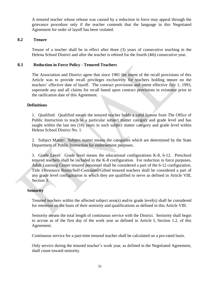A tenured teacher whose release was caused by a reduction in force may appeal through the grievance procedure only if the teacher contends that the language in this Negotiated Agreement for order of layoff has been violated.

#### <span id="page-32-0"></span>**8.2 Tenure**

Tenure of a teacher shall be in effect after three (3) years of consecutive teaching in the Helena School District and after the teacher is rehired for the fourth (4th) consecutive year.

# <span id="page-32-1"></span>**8.3 Reduction in Force Policy - Tenured Teachers**

The Association and District agree that since 1981 the intent of the recall provisions of this Article was to provide recall privileges exclusively for teachers holding tenure on the teachers' effective date of layoff. The contract provisions and intent effective July 1, 1993, supersede any and all claims for recall based upon contract provisions in existence prior to the ratification date of this Agreement.

# <span id="page-32-2"></span>**Definitions**

1. Qualified: Qualified means the tenured teacher holds a valid license from The Office of Public Instruction to teach in a particular subject matter category and grade level and has taught within the last ten (10) years in such subject matter category and grade level within Helena School District No. 1.

2. Subject Matter: Subject matter means the categories which are determined by the State Department of Public Instruction for endorsement purposes.

3. Grade Level: Grade level means the educational configurations K-8, 6-12. Preschool tenured teachers shall be included in the K-8 configuration. For reduction in force purposes, Adult Learning Center tenured personnel shall be considered a part of the 6-12 configuration. Title I/Resource Room/Self-Contained/Gifted tenured teachers shall be considered a part of any grade level configuration in which they are qualified to serve as defined in Article VIII, Section 3.

#### <span id="page-32-3"></span>**Seniority**

Tenured teachers within the affected subject area(s) and/or grade level(s) shall be considered for retention on the basis of their seniority and qualifications as defined in this Article VIII.

Seniority means the total length of continuous service with the District. Seniority shall begin to accrue as of the first day of the work year as defined in Article I, Section 1.2, of this Agreement.

Continuous service for a part-time tenured teacher shall be calculated on a pro-rated basis.

Only service during the tenured teacher's work year, as defined in the Negotiated Agreement, shall count toward seniority.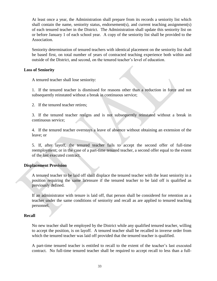At least once a year, the Administration shall prepare from its records a seniority list which shall contain the name, seniority status, endorsement(s), and current teaching assignment(s) of each tenured teacher in the District. The Administration shall update this seniority list on or before January 1 of each school year. A copy of the seniority list shall be provided to the Association.

Seniority determination of tenured teachers with identical placement on the seniority list shall be based first, on total number of years of contracted teaching experience both within and outside of the District, and second, on the tenured teacher's level of education.

#### <span id="page-33-0"></span>**Loss of Seniority**

A tenured teacher shall lose seniority:

1. If the tenured teacher is dismissed for reasons other than a reduction in force and not subsequently reinstated without a break in continuous service;

2. If the tenured teacher retires;

3. If the tenured teacher resigns and is not subsequently reinstated without a break in continuous service;

4. If the tenured teacher overstays a leave of absence without obtaining an extension of the leave; or

5. If, after layoff, the tenured teacher fails to accept the second offer of full-time reemployment; or in the case of a part-time tenured teacher, a second offer equal to the extent of the last executed contract.

#### <span id="page-33-1"></span>**Displacement Provision**

A tenured teacher to be laid off shall displace the tenured teacher with the least seniority in a position requiring the same licensure if the tenured teacher to be laid off is qualified as previously defined.

If an administrator with tenure is laid off, that person shall be considered for retention as a teacher under the same conditions of seniority and recall as are applied to tenured teaching personnel.

#### <span id="page-33-2"></span>**Recall**

No new teacher shall be employed by the District while any qualified tenured teacher, willing to accept the position, is on layoff. A tenured teacher shall be recalled in inverse order from which the tenured teacher was laid off provided that the tenured teacher is qualified.

A part-time tenured teacher is entitled to recall to the extent of the teacher's last executed contract. No full-time tenured teacher shall be required to accept recall to less than a full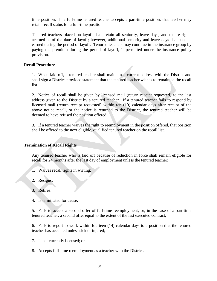time position. If a full-time tenured teacher accepts a part-time position, that teacher may retain recall status for a full-time position.

Tenured teachers placed on layoff shall retain all seniority, leave days, and tenure rights accrued as of the date of layoff; however, additional seniority and leave days shall not be earned during the period of layoff. Tenured teachers may continue in the insurance group by paying the premium during the period of layoff, if permitted under the insurance policy provision.

#### <span id="page-34-0"></span>**Recall Procedure**

1. When laid off, a tenured teacher shall maintain a current address with the District and shall sign a District-provided statement that the tenured teacher wishes to remain on the recall list.

2. Notice of recall shall be given by licensed mail (return receipt requested) to the last address given to the District by a tenured teacher. If a tenured teacher fails to respond by licensed mail (return receipt requested) within ten (10) calendar days after receipt of the above notice recall, or the notice is returned to the District, the tenured teacher will be deemed to have refused the position offered.

3. If a tenured teacher waives the right to reemployment in the position offered, that position shall be offered to the next eligible, qualified tenured teacher on the recall list.

# <span id="page-34-1"></span>**Termination of Recall Rights**

Any tenured teacher who is laid off because of reduction in force shall remain eligible for recall for 24 months after the last day of employment unless the tenured teacher:

- 1. Waives recall rights in writing;
- 2. Resigns;
- 3. Retires;
- 4. Is terminated for cause;

5. Fails to accept a second offer of full-time reemployment; or, in the case of a part-time tenured teacher, a second offer equal to the extent of the last executed contract;

6. Fails to report to work within fourteen (14) calendar days to a position that the tenured teacher has accepted unless sick or injured;

- 7. Is not currently licensed; or
- 8. Accepts full-time reemployment as a teacher with the District.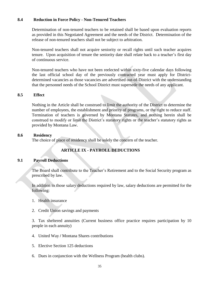# <span id="page-35-0"></span>**8.4 Reduction in Force Policy - Non-Tenured Teachers**

Determination of non-tenured teachers to be retained shall be based upon evaluation reports as provided in this Negotiated Agreement and the needs of the District. Determination of the release of non-tenured teachers shall not be subject to arbitration.

Non-tenured teachers shall not acquire seniority or recall rights until such teacher acquires tenure. Upon acquisition of tenure the seniority date shall relate back to a teacher's first day of continuous service.

Non-tenured teachers who have not been reelected within sixty-five calendar days following the last official school day of the previously contracted year must apply for Districtdetermined vacancies as those vacancies are advertised out-of-District with the understanding that the personnel needs of the School District must supersede the needs of any applicant.

#### <span id="page-35-1"></span>**8.5 Effect**

Nothing in the Article shall be construed to limit the authority of the District to determine the number of employees, the establishment and priority of programs, or the right to reduce staff. Termination of teachers is governed by Montana Statutes, and nothing herein shall be construed to modify or limit the District's statutory rights or the teacher's statutory rights as provided by Montana Law.

#### <span id="page-35-2"></span>**8.6 Residency**

The choice of place of residency shall be solely the concern of the teacher.

# **ARTICLE IX - PAYROLL DEDUCTIONS**

#### <span id="page-35-4"></span><span id="page-35-3"></span>**9.1 Payroll Deductions**

The Board shall contribute to the Teacher's Retirement and to the Social Security program as prescribed by law.

In addition to those salary deductions required by law, salary deductions are permitted for the following:

- 1. Health insurance
- 2. Credit Union savings and payments

3. Tax sheltered annuities (Current business office practice requires participation by 10 people in each annuity)

- 4. United Way **/** Montana Shares contributions
- 5. Elective Section 125 deductions
- 6. Dues in conjunction with the Wellness Program (health clubs).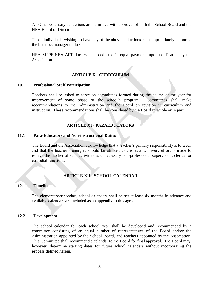7. Other voluntary deductions are permitted with approval of both the School Board and the HEA Board of Directors.

Those individuals wishing to have any of the above deductions must appropriately authorize the business manager to do so.

HEA MFPE-NEA-AFT dues will be deducted in equal payments upon notification by the Association.

# **ARTICLE X - CURRICULUM**

#### <span id="page-36-1"></span><span id="page-36-0"></span>**10.1 Professional Staff Participation**

Teachers shall be asked to serve on committees formed during the course of the year for improvement of some phase of the school's program. Committees shall make recommendations to the Administration and the Board on revision in curriculum and instruction. These recommendations shall be considered by the Board in whole or in part.

# **ARTICLE XI - PARAEDUCATORS**

#### <span id="page-36-3"></span><span id="page-36-2"></span>**11.1 Para-Educators and Non-instructional Duties**

The Board and the Association acknowledge that a teacher's primary responsibility is to teach and that the teacher's energies should be utilized to this extent. Every effort is made to relieve the teacher of such activities as unnecessary non-professional supervision**,** clerical or custodial functions.

# **ARTICLE XII - SCHOOL CALENDAR**

#### <span id="page-36-5"></span><span id="page-36-4"></span>**12.1 Timeline**

The elementary-secondary school calendars shall be set at least six months in advance and available calendars are included as an appendix to this agreement.

#### <span id="page-36-6"></span>**12.2 Development**

The school calendar for each school year shall be developed and recommended by a committee consisting of an equal number of representatives of the Board and/or the Administration appointed by the School Board, and teachers appointed by the Association. This Committee shall recommend a calendar to the Board for final approval. The Board may, however, determine starting dates for future school calendars without incorporating the process defined herein.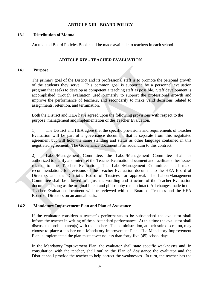# **ARTICLE XIII - BOARD POLICY**

#### <span id="page-37-1"></span><span id="page-37-0"></span>**13.1 Distribution of Manual**

An updated Board Policies Book shall be made available to teachers in each school.

#### **ARTICLE XIV - TEACHER EVALUATION**

#### <span id="page-37-3"></span><span id="page-37-2"></span>**14.1 Purpose**

The primary goal of the District and its professional staff is to promote the personal growth of the students they serve. This common goal is supported by a personnel evaluation program that seeks to develop as competent a teaching staff as possible. Staff development is accomplished through evaluation used primarily to support the professional growth and improve the performance of teachers, and secondarily to make valid decisions related to assignments, retention, and termination.

Both the District and HEA have agreed upon the following provisions with respect to the purpose, management and implementation of the Teacher Evaluation.

1) The District and HEA agree that the specific provisions and requirements of Teacher Evaluation will be part of a governance document that is separate from this negotiated agreement but will hold the same standing and status as other language contained in this negotiated agreement. The Governance document is an addendum to this contract.

2) Labor/Management Committee. the Labor/Management Committee shall be authorized to clarify and interpret the Teacher Evaluation document and facilitate other issues related to the Teacher Evaluation. The Labor/Management Committee shall make recommendations for revisions of the Teacher Evaluation document to the HEA Board of Directors and the District's Board of Trustees for approval. The Labor/Management Committee shall be allowed to adjust the wording and structure of the Teacher Evaluation document as long as the original intent and philosophy remain intact. All changes made in the Teacher Evaluation document will be reviewed with the Board of Trustees and the HEA Board of Directors on an annual basis.

#### <span id="page-37-4"></span>**14.2 Mandatory Improvement Plan and Plan of Assistance**

If the evaluator considers a teacher's performance to be substandard the evaluator shall inform the teacher in writing of the substandard performance. At this time the evaluator shall discuss the problem area(s) with the teacher. The administration, at their sole discretion, may choose to place a teacher on a Mandatory Improvement Plan. If a Mandatory Improvement Plan is implemented the plan must cover no less than forty-five (45) school days.

In the Mandatory Improvement Plan, the evaluator shall state specific weaknesses and, in consultation with the teacher, shall outline the Plan of Assistance the evaluator and the District shall provide the teacher to help correct the weaknesses. In turn, the teacher has the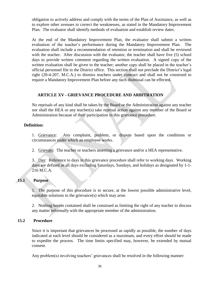obligation to actively address and comply with the terms of the Plan of Assistance, as well as to explore other avenues to correct the weaknesses, as stated in the Mandatory Improvement Plan. The evaluator shall identify methods of evaluation and establish review dates.

At the end of the Mandatory Improvement Plan, the evaluator shall submit a written evaluation of the teacher's performance during the Mandatory Improvement Plan. The evaluation shall include a recommendation of retention or termination and shall be reviewed with the teacher. After discussion with the evaluator, the teacher shall have five (5) school days to provide written comment regarding the written evaluation. A signed copy of the written evaluation shall be given to the teacher; another copy shall be placed in the teacher's official personnel file in the District office. This section shall not preclude the District's legal right (20-4-207, M.C.A.) to dismiss teachers under contract and shall not be construed to require a Mandatory Improvement Plan before any such dismissal can be effected.

# **ARTICLE XV - GRIEVANCE PROCEDURE AND ARBITRATION**

<span id="page-38-0"></span>No reprisals of any kind shall be taken by the Board or the Administration against any teacher nor shall the HEA or any teacher(s) take reprisal action against any member of the Board or Administration because of their participation in this grievance procedure.

# <span id="page-38-1"></span>**Definition:**

1. Grievance: Any complaint, problem, or dispute based upon the conditions or circumstances under which an employee works.

2. Grievant: The teacher or teachers asserting a grievance and/or a HEA representative.

3. Day: Reference to days in this grievance procedure shall refer to working days. Working days are defined as all days excluding Saturdays, Sundays, and holidays as designated by 1-1- 216 M.C.A.

# <span id="page-38-2"></span>**15.1 Purpose**

1. The purpose of this procedure is to secure, at the lowest possible administrative level, equitable solutions to the grievance(s) which may arise.

2. Nothing herein contained shall be construed as limiting the right of any teacher to discuss any matter informally with the appropriate member of the administration.

# <span id="page-38-3"></span>**15.2 Procedure**

Since it is important that grievances be processed as rapidly as possible, the number of days indicated at each level should be considered as a maximum, and every effort should be made to expedite the process. The time limits specified may, however, be extended by mutual consent.

Any problem(s) involving teachers' grievances shall be resolved in the following manner: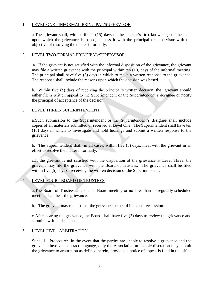# 1. LEVEL ONE - INFORMAL-PRINCIPAL/SUPERVISOR

a.The grievant shall, within fifteen (15) days of the teacher's first knowledge of the facts upon which the grievance is based, discuss it with the principal or supervisor with the objective of resolving the matter informally.

#### 2. LEVEL TWO-FORMAL PRINCIPAL/SUPERVISOR

a. If the grievant is not satisfied with the informal disposition of the grievance, the grievant may file a written grievance with the principal within ten (10) days of the informal meeting. The principal shall have five (5) days in which to make a written response to the grievance. The response shall include the reasons upon which the decision was based.

b. Within five (5) days of receiving the principal's written decision, the grievant should either file a written appeal to the Superintendent or the Superintendent's designee or notify the principal of acceptance of the decision.

# 3. LEVEL THREE- SUPERINTENDENT

a.Such submission to the Superintendent or the Superintendent's designee shall include copies of all materials submitted or received at Level One. The Superintendent shall have ten (10) days in which to investigate and hold hearings and submit a written response to the grievance.

b. The Superintendent shall, in all cases, within five (5) days, meet with the grievant in an effort to resolve the matter informally.

c.If the grievant is not satisfied with the disposition of the grievance at Level Three, the grievant may file the grievance with the Board of Trustees. The grievance shall be filed within five (5) days of receiving the written decision of the Superintendent.

# 4. LEVEL FOUR - BOARD OF TRUSTEES

a.The Board of Trustees at a special Board meeting or no later than its regularly scheduled meeting shall hear the grievance.

b. The grievant may request that the grievance be heard in executive session.

c.After hearing the grievance, the Board shall have five (5) days to review the grievance and submit a written decision.

# 5. LEVEL FIVE - ARBITRATION

Subd. 1—Procedure: In the event that the parties are unable to resolve a grievance and the grievance involves contract language, only the Association at its sole discretion may submit the grievance to arbitration as defined herein, provided a notice of appeal is filed in the office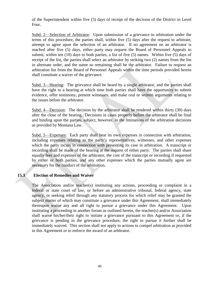of the Superintendent within five (5) days of receipt of the decision of the District in Level Four.

Subd. 2—Selection of Arbitrator: Upon submission of a grievance to arbitration under the terms of this procedure, the parties shall, within five (5) days after the request to arbitrate, attempt to agree upon the selection of an arbitrator. If no agreement on an arbitrator is reached after five (5) days, either party may request the Board of Personnel Appeals to submit, within ten (10) days to both parties, a list of five (5) names. Within five (5) days of receipt of the list, the parties shall select an arbitrator by striking two (2) names from the list in alternate order, and the name so remaining shall be the arbitrator. Failure to request an arbitration list from the Board of Personnel Appeals within the time periods provided herein shall constitute a waiver of the grievance.

Subd. 3—Hearing: The grievance shall be heard by a single arbitrator, and the parties shall have the right to a hearing at which time both parties shall have the opportunity to submit evidence, offer testimony, present witnesses, and make oral or written arguments relating to the issues before the arbitrator.

Subd. 4—Decision: The decision by the arbitrator shall be rendered within thirty (30) days after the close of the hearing. Decisions in cases properly before the arbitrator shall be final and binding upon the parties, subject, however, to the limitations of the arbitration decisions as provided by Montana Law.

Subd. 5—Expenses: Each party shall bear its own expenses in connection with arbitration, including expenses relating to the party's representatives, witnesses, and other expenses which the party incurs in connection with presenting its case in arbitration. A transcript or recording shall be made of the hearing at the request of either party. The parties shall share equally fees and expenses of the arbitrator, the cost of the transcript or recording if requested by either or both parties, and any other expenses which the parties mutually agree are necessary for the conduct of the arbitration.

# <span id="page-40-0"></span>**15.3 Election of Remedies and Waiver**

The Association and/or teacher(s) instituting any actions, proceeding or complaint in a federal or state court of law, or before an administrative tribunal, federal agency, state agency, or seeking relief through any statutory process for which relief may be granted the subject matter of which may constitute a grievance under this Agreement, shall immediately thereupon waive any and all right to pursue a grievance under this Agreement. Upon instituting a proceeding in another forum as outlined herein, the teacher(s) and/or Association shall waive his/her/their right to initiate a grievance pursuant to this Agreement or, if the grievance is pending in the grievance procedure, the right to pursue it further shall be immediately waived. This section shall not apply to actions to compel arbitration as provided in this Agreement or to enforce the award of an arbitrator.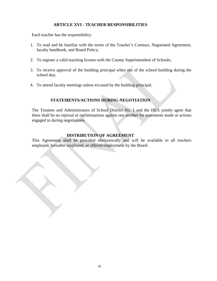# **ARTICLE XVI - TEACHER RESPONSIBILITIES**

<span id="page-41-0"></span>Each teacher has the responsibility:

- 1. To read and be familiar with the terms of the Teacher's Contract, Negotiated Agreement, faculty handbook, and Board Policy;
- 2. To register a valid teaching license with the County Superintendent of Schools;
- 3. To receive approval of the building principal when out of the school building during the school day;
- 4. To attend faculty meetings unless excused by the building principal.

# **STATEMENTS/ACTIONS DURING NEGOTIATION**

<span id="page-41-1"></span>The Trustees and Administrators of School District No. 1 and the HEA jointly agree that there shall be no reprisal or recriminations against one another for statements made or actions engaged in during negotiations.

# **DISTRIBUTION OF AGREEMENT**

<span id="page-41-2"></span>This Agreement shall be provided electronically and will be available to all teachers employed, hereafter employed, or offered employment by the Board.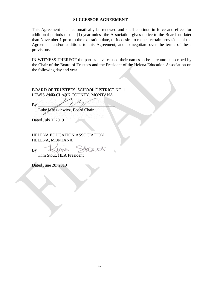#### **SUCCESSOR AGREEMENT**

<span id="page-42-0"></span>This Agreement shall automatically be renewed and shall continue in force and effect for additional periods of one (1) year unless the Association gives notice to the Board, no later than November 1 prior to the expiration date, of its desire to reopen certain provisions of the Agreement and/or additions to this Agreement, and to negotiate over the terms of these provisions.

IN WITNESS THEREOF the parties have caused their names to be hereunto subscribed by the Chair of the Board of Trustees and the President of the Helena Education Association on the following day and year.

BOARD OF TRUSTEES, SCHOOL DISTRICT NO. 1 LEWIS AND CLARK COUNTY, MONTANA

By \_\_\_\_\_\_\_\_\_\_\_\_\_\_\_\_\_\_\_\_\_\_\_\_\_\_\_\_\_\_\_\_\_\_\_\_

Luke Muszkiewicz, Board Chair

Dated July 1, 2019

HELENA EDUCATION ASSOCIATION HELENA, MONTANA

By \_\_\_\_\_\_\_\_\_\_\_\_\_\_\_\_\_\_\_\_\_\_\_\_\_\_\_\_\_\_\_\_\_\_\_\_

Kim Stout, HEA President

Dated June 28, 2019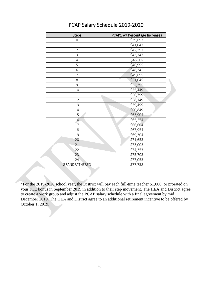| <b>Steps</b>    | PCAP1 w/ Percentage Increases |
|-----------------|-------------------------------|
| 0               | \$39,697                      |
| $\mathbf 1$     | \$41,047                      |
| $\overline{2}$  | \$42,397                      |
| 3               | \$43,747                      |
| $\overline{4}$  | \$45,097                      |
| 5               | \$46,995                      |
| 6               | \$48,345                      |
| 7               | \$49,695                      |
| 8               | \$51,045                      |
| 9               | \$52,395                      |
| 10              | \$55,449                      |
| 11              | \$56,799                      |
| 12              | \$58,149                      |
| 13              | \$59,499                      |
| 14              | \$60,849                      |
| 15              | \$63,904                      |
| 16              | \$65,254                      |
| $\overline{17}$ | \$66,604                      |
| 18              | \$67,954                      |
| 19              | \$69,304                      |
| 20              | \$71,653                      |
| 21              | \$73,003                      |
| 22              | \$74,353                      |
| 23              | \$75,703                      |
| 24              | \$77,053                      |
| GRANDFATHERED   | \$77,758                      |

# PCAP Salary Schedule 2019-2020

\*For the 2019-2020 school year, the District will pay each full-time teacher \$1,000, or prorated on your FTE bonus in September 2019 in addition to their step movement. The HEA and District agree to create a work group and adjust the PCAP salary schedule with a final agreement by mid December 2019. The HEA and District agree to an additional retirement incentive to be offered by October 1, 2019.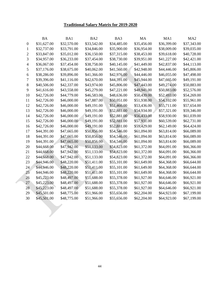# **Traditional Salary Matrix for 2019-2020**

<span id="page-44-0"></span>

|              | BA          | BA1         | B <sub>A</sub> 2 | BA3         | MA          | MA1         | MA <sub>2</sub> |
|--------------|-------------|-------------|------------------|-------------|-------------|-------------|-----------------|
| $\mathbf{0}$ | \$31,627.00 | \$32,570.00 | \$33,542.00      | \$34,485.00 | \$35,456.00 | \$36,399.00 | \$37,343.00     |
| 1            | \$32,737.00 | \$33,791.00 | \$34,846.00      | \$35,900.00 | \$36,954.00 | \$38,009.00 | \$39,035.00     |
| 2            | \$33,847.00 | \$35,012.00 | \$36,150.00      | \$37,315.00 | \$38,453.00 | \$39,618.00 | \$40,728.00     |
| 3            | \$34,957.00 | \$36,233.00 | \$37,454.00      | \$38,730.00 | \$39,951.00 | \$41,227.00 | \$42,421.00     |
| 4            | \$36,067.00 | \$37,454.00 | \$38,758.00      | \$40,145.00 | \$41,449.00 | \$42,837.00 | \$44,113.00     |
| 5            | \$37,176.00 | \$38,675.00 | \$40,062.00      | \$41,560.00 | \$42,948.00 | \$44,446.00 | \$45,806.00     |
| 6            | \$38,286.00 | \$39,896.00 | \$41,366.00      | \$42,976.00 | \$44,446.00 | \$46,055.00 | \$47,498.00     |
| 7            | \$39,396.00 | \$41,116.00 | \$42,670.00      | \$44,391.00 | \$45,944.00 | \$47,665.00 | \$49,191.00     |
| 8            | \$40,506.00 | \$42,337.00 | \$43,974.00      | \$45,806.00 | \$47,443.00 | \$49,274.00 | \$50,883.00     |
| 9            | \$41,616.00 | \$43,558.00 | \$45,279.00      | \$47,221.00 | \$48,941.00 | \$50,883.00 | \$52,576.00     |
| 10           | \$42,726.00 | \$44,779.00 | \$46,583.00      | \$48,636.00 | \$50,439.00 | \$52,493.00 | \$54,269.00     |
| 11           | \$42,726.00 | \$46,000.00 | \$47,887.00      | \$50,051.00 | \$51,938.00 | \$54,102.00 | \$55,961.00     |
| 12           | \$42,726.00 | \$46,000.00 | \$49,191.00      | \$51,466.00 | \$53,436.00 | \$55,711.00 | \$57,654.00     |
| 13           | \$42,726.00 | \$46,000.00 | \$49,191.00      | \$52,881.00 | \$54,934.00 | \$57,321.00 | \$59,346.00     |
| 14           | \$42,726.00 | \$46,000.00 | \$49,191.00      | \$52,881.00 | \$56,433.00 | \$58,930.00 | \$61,039.00     |
| 15           | \$42,726.00 | \$46,000.00 | \$49,191.00      | \$52,881.00 | \$57,931.00 | \$60,539.00 | \$62,731.00     |
| 16           | \$42,726.00 | \$46,000.00 | \$49,191.00      | \$52,881.00 | \$59,429.00 | \$62,149.00 | \$64,424.00     |
| 17           | \$44,391.00 | \$47,665.00 | \$50,856.00      | \$54,546.00 | \$61,094.00 | \$63,814.00 | \$66,089.00     |
| 18           | \$44,391.00 | \$47,665.00 | \$50,856.00      | \$54,546.00 | \$61,094.00 | \$63,814.00 | \$66,089.00     |
| 19           | \$44,391.00 | \$47,665.00 | \$50,856.00      | \$54,546.00 | \$61,094.00 | \$63,814.00 | \$66,089.00     |
| 20           | \$44,668.00 | \$47,942.00 | \$51,133.00      | \$54,823.00 | \$61,372.00 | \$64,091.00 | \$66,366.00     |
| 21           | \$44,668.00 | \$47,942.00 | \$51,133.00      | \$54,823.00 | \$61,372.00 | \$64,091.00 | \$66,366.00     |
| 22           | \$44,668.00 | \$47,942.00 | \$51,133.00      | \$54,823.00 | \$61,372.00 | \$64,091.00 | \$66,366.00     |
| 23           | \$44,946.00 | \$48,220.00 | \$51,411.00      | \$55,101.00 | \$61,649.00 | \$64,368.00 | \$66,644.00     |
| 24           | \$44,946.00 | \$48,220.00 | \$51,411.00      | \$55,101.00 | \$61,649.00 | \$64,368.00 | \$66,644.00     |
| 25           | \$44,946.00 | \$48,220.00 | \$51,411.00      | \$55,101.00 | \$61,649.00 | \$64,368.00 | \$66,644.00     |
| 26           | \$45,223.00 | \$48,497.00 | \$51,688.00      | \$55,378.00 | \$61,927.00 | \$64,646.00 | \$66,921.00     |
| 27           | \$45,223.00 | \$48,497.00 | \$51,688.00      | \$55,378.00 | \$61,927.00 | \$64,646.00 | \$66,921.00     |
| 28           | \$45,223.00 | \$48,497.00 | \$51,688.00      | \$55,378.00 | \$61,927.00 | \$64,646.00 | \$66,921.00     |
| 29           | \$45,501.00 | \$48,775.00 | \$51,966.00      | \$55,656.00 | \$62,204.00 | \$64,923.00 | \$67,199.00     |
| 30           | \$45,501.00 | \$48,775.00 | \$51,966.00      | \$55,656.00 | \$62,204.00 | \$64,923.00 | \$67,199.00     |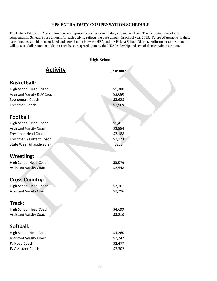# **HPS EXTRA-DUTY COMPENSATION SCHEDULE**

<span id="page-45-0"></span>The Helena Education Association does not represent coaches or extra duty stipend workers. The following Extra-Duty compensation Schedule base amount for each activity reflects the base amount in school year 2019. Future adjustments to these base amounts should be negotiated and agreed upon between HEA and the Helena School District. Adjustment to the amount will be a set dollar amount added to each base as agreed upon by the HEA leadership and school district Administration.

|                                | <b>High School</b> |
|--------------------------------|--------------------|
| <b>Activity</b>                | <b>Base Rate</b>   |
| <b>Basketball:</b>             |                    |
| High School Head Coach         | \$5,380            |
| Assistant Varsity & JV Coach   | \$3,680            |
| Sophomore Coach                | \$3,628            |
| Freshman Coach                 | \$2,909            |
| Football:                      |                    |
| High School Head Coach         | \$5,411            |
| <b>Assistant Varsity Coach</b> | \$3,554            |
| Freshman Head Coach            | \$2,188            |
| Freshman Assistant Coach       | \$2,173            |
| State Week (if applicable)     | \$255              |
|                                |                    |
| <b>Wrestling:</b>              |                    |
| <b>High School Head Coach</b>  | \$5,076            |
| <b>Assistant Varsity Coach</b> | \$3,548            |
|                                |                    |
| <b>Cross Country:</b>          |                    |
| <b>High School Head Coach</b>  | \$3,161            |
| <b>Assistant Varsity Coach</b> | \$2,296            |
|                                |                    |
| Track:                         |                    |
| High School Head Coach         | \$4,699            |
| <b>Assistant Varsity Coach</b> | \$3,210            |
| Softball:                      |                    |
| High School Head Coach         | \$4,260            |
| <b>Assistant Varsity Coach</b> | \$3,247            |
| JV Head Coach                  | \$2,477            |
| JV Assistant Coach             | \$2,302            |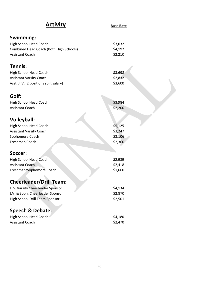| <b>Activity</b>                                  | <b>Base Rate</b>   |
|--------------------------------------------------|--------------------|
| Swimming:                                        |                    |
| <b>High School Head Coach</b>                    | \$3,032            |
| Combined Head Coach (Both High Schools)          | \$4,192            |
| Assistant Coach                                  | \$2,210            |
| Tennis:                                          |                    |
| High School Head Coach                           | \$3,698            |
| <b>Assistant Varsity Coach</b>                   | \$2,832            |
| Asst. J. V. (2 positions split salary)           | \$3,600            |
| Golf:                                            |                    |
| <b>High School Head Coach</b>                    | \$3,984            |
| <b>Assistant Coach</b>                           | \$2,200            |
|                                                  |                    |
| <b>Volleyball:</b>                               |                    |
| <b>High School Head Coach</b>                    | \$5,125            |
| <b>Assistant Varsity Coach</b>                   | \$3,247            |
| Sophomore Coach                                  | \$3,106            |
| Freshman Coach                                   | \$2,360            |
| Soccer:                                          |                    |
| <b>High School Head Coach</b>                    | \$2,989            |
| <b>Assistant Coach</b>                           | \$2,418            |
| Freshman/Sophomore Coach                         | \$1,660            |
| <b>Cheerleader/Drill Team:</b>                   |                    |
| H.S. Varsity Cheerleader Sponsor                 | \$4,134            |
| J.V. & Soph. Cheerleader Sponsor                 | \$2,870            |
| High School Drill Team Sponsor                   | \$2,501            |
| <b>Speech &amp; Debate:</b>                      |                    |
|                                                  |                    |
| <b>High School Head Coach</b><br>Assistant Coach | \$4,180<br>\$2,470 |
|                                                  |                    |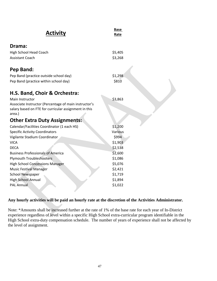| <b>Activity</b>                                                                                                                             | <b>Base</b><br>Rate |
|---------------------------------------------------------------------------------------------------------------------------------------------|---------------------|
| Drama:                                                                                                                                      |                     |
| <b>High School Head Coach</b>                                                                                                               | \$5,405             |
| <b>Assistant Coach</b>                                                                                                                      | \$3,268             |
| Pep Band:                                                                                                                                   |                     |
| Pep Band (practice outside school day)                                                                                                      | \$1,298             |
| Pep Band (practice within school day)                                                                                                       | \$810               |
| H.S. Band, Choir & Orchestra:                                                                                                               |                     |
| Main Instructor<br>Associate Instructor (Percentage of main instructor's<br>salary based on FTE for curricular assignment in this<br>area.) | \$3,863             |
| <b>Other Extra Duty Assignments:</b>                                                                                                        |                     |
| Calendar/Facilities Coordinator (1 each HS)                                                                                                 | \$1,200             |
| <b>Specific Activity Coordinators</b>                                                                                                       | Various             |
| Vigilante Stadium Coordinator                                                                                                               | \$994               |
| <b>VICA</b>                                                                                                                                 | \$1,903             |
| <b>DECA</b>                                                                                                                                 | \$2,538             |
| <b>Business Professionals of America</b>                                                                                                    | \$2,600             |
| <b>Plymouth Troubleshooters</b>                                                                                                             | \$1,086             |
| <b>High School Concessions Manager</b>                                                                                                      | \$5,076             |
| <b>Music Festival Manager</b>                                                                                                               | \$2,421             |
| <b>School Newspaper</b>                                                                                                                     | \$1,719             |
| <b>High School Annual</b>                                                                                                                   | \$1,894             |
| <b>PAL Annual</b>                                                                                                                           | \$1,022             |

# **Any hourly activities will be paid an hourly rate at the discretion of the Activities Administrator.**

Note: \*Amounts shall be increased further at the rate of 1% of the base rate for each year of In-District experience regardless of level within a specific High School extra-curricular program identifiable in the High School extra-duty compensation schedule. The number of years of experience shall not be affected by the level of assignment.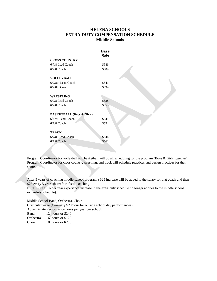# **HELENA SCHOOLS EXTRA-DUTY COMPENSATION SCHEDULE Middle Schools**

|                                      | <b>Base</b><br>Rate |  |
|--------------------------------------|---------------------|--|
| <b>CROSS COUNTRY</b>                 |                     |  |
| 6/7/8 Lead Coach                     | \$586               |  |
| $6/7/8$ Coach                        | \$509               |  |
| <b>VOLLEYBALL</b>                    |                     |  |
| 6/7/8th Lead Coach                   | \$641               |  |
| 6/7/8th Coach                        | \$594               |  |
| <b>WRESTLING</b>                     |                     |  |
| 6/7/8 Lead Coach                     | \$638               |  |
| $6/7/8$ Coach                        | \$555               |  |
| <b>BASKETBALL (Boys &amp; Girls)</b> |                     |  |
| $6th/7/8$ Lead Coach                 | \$641               |  |
| $6/7/8$ Coach                        | \$594               |  |
| <b>TRACK</b>                         |                     |  |
| 6/7/8 /Lead Coach                    | \$644               |  |
| $6/7/8$ Coach                        | \$562               |  |
|                                      |                     |  |

Program Coordinator for volleyball and basketball will do all scheduling for the program (Boys & Girls together). Program Coordinator for cross country, wrestling, and track will schedule practices and design practices for their sports.

After 5 years of coaching middle school program a \$25 increase will be added to the salary for that coach and then \$25 every 5 years thereafter if still coaching.

NOTE: (The 1% per year experience increase in the extra duty schedule no longer applies to the middle school extra-duty schedule).

Middle School Band, Orchestra, Choir

Curricular wage (Currently \$20/hour for outside school day performances)

Approximate Performance hours per year per school:

Band 12 hours or \$240

Orchestra 6 hours or \$120

Choir 10 hours or \$200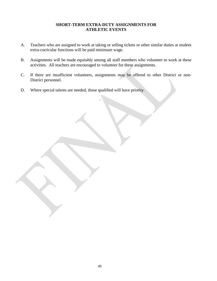# **SHORT-TERM EXTRA-DUTY ASSIGNMENTS FOR ATHLETIC EVENTS**

- A. Teachers who are assigned to work at taking or selling tickets or other similar duties at student extra-curricular functions will be paid minimum wage.
- B. Assignments will be made equitably among all staff members who volunteer to work at these activities. All teachers are encouraged to volunteer for these assignments.
- C. If there are insufficient volunteers, assignments may be offered to other District or non-District personnel.
- D. Where special talents are needed, those qualified will have priority.